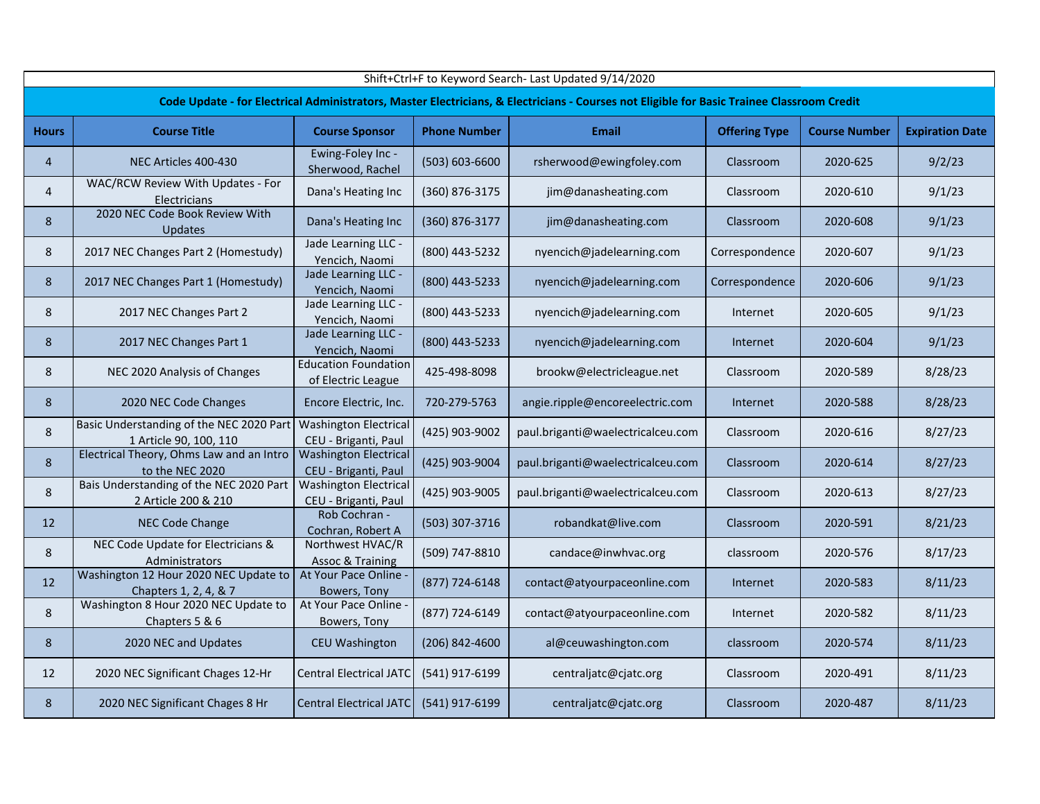|                | Shift+Ctrl+F to Keyword Search- Last Updated 9/14/2020             |                                                      |                     |                                                                                                                                            |                      |                      |                        |  |  |  |  |  |
|----------------|--------------------------------------------------------------------|------------------------------------------------------|---------------------|--------------------------------------------------------------------------------------------------------------------------------------------|----------------------|----------------------|------------------------|--|--|--|--|--|
|                |                                                                    |                                                      |                     | Code Update - for Electrical Administrators, Master Electricians, & Electricians - Courses not Eligible for Basic Trainee Classroom Credit |                      |                      |                        |  |  |  |  |  |
| <b>Hours</b>   | <b>Course Title</b>                                                | <b>Course Sponsor</b>                                | <b>Phone Number</b> | <b>Email</b>                                                                                                                               | <b>Offering Type</b> | <b>Course Number</b> | <b>Expiration Date</b> |  |  |  |  |  |
| $\overline{4}$ | NEC Articles 400-430                                               | Ewing-Foley Inc -<br>Sherwood, Rachel                | (503) 603-6600      | rsherwood@ewingfoley.com                                                                                                                   | Classroom            | 2020-625             | 9/2/23                 |  |  |  |  |  |
| 4              | WAC/RCW Review With Updates - For<br>Electricians                  | Dana's Heating Inc                                   | (360) 876-3175      | jim@danasheating.com                                                                                                                       | Classroom            | 2020-610             | 9/1/23                 |  |  |  |  |  |
| 8              | 2020 NEC Code Book Review With<br><b>Updates</b>                   | Dana's Heating Inc                                   | (360) 876-3177      | jim@danasheating.com                                                                                                                       | Classroom            | 2020-608             | 9/1/23                 |  |  |  |  |  |
| 8              | 2017 NEC Changes Part 2 (Homestudy)                                | Jade Learning LLC -<br>Yencich, Naomi                | (800) 443-5232      | nyencich@jadelearning.com                                                                                                                  | Correspondence       | 2020-607             | 9/1/23                 |  |  |  |  |  |
| 8              | 2017 NEC Changes Part 1 (Homestudy)                                | Jade Learning LLC -<br>Yencich, Naomi                | (800) 443-5233      | nyencich@jadelearning.com                                                                                                                  | Correspondence       | 2020-606             | 9/1/23                 |  |  |  |  |  |
| 8              | 2017 NEC Changes Part 2                                            | Jade Learning LLC -<br>Yencich, Naomi                | (800) 443-5233      | nyencich@jadelearning.com                                                                                                                  | Internet             | 2020-605             | 9/1/23                 |  |  |  |  |  |
| 8              | 2017 NEC Changes Part 1                                            | Jade Learning LLC -<br>Yencich, Naomi                | (800) 443-5233      | nyencich@jadelearning.com                                                                                                                  | Internet             | 2020-604             | 9/1/23                 |  |  |  |  |  |
| 8              | NEC 2020 Analysis of Changes                                       | <b>Education Foundation</b><br>of Electric League    | 425-498-8098        | brookw@electricleague.net                                                                                                                  | Classroom            | 2020-589             | 8/28/23                |  |  |  |  |  |
| 8              | 2020 NEC Code Changes                                              | Encore Electric, Inc.                                | 720-279-5763        | angie.ripple@encoreelectric.com                                                                                                            | Internet             | 2020-588             | 8/28/23                |  |  |  |  |  |
| 8              | Basic Understanding of the NEC 2020 Part<br>1 Article 90, 100, 110 | <b>Washington Electrical</b><br>CEU - Briganti, Paul | (425) 903-9002      | paul.briganti@waelectricalceu.com                                                                                                          | Classroom            | 2020-616             | 8/27/23                |  |  |  |  |  |
| 8              | Electrical Theory, Ohms Law and an Intro<br>to the NEC 2020        | <b>Washington Electrical</b><br>CEU - Briganti, Paul | (425) 903-9004      | paul.briganti@waelectricalceu.com                                                                                                          | Classroom            | 2020-614             | 8/27/23                |  |  |  |  |  |
| 8              | Bais Understanding of the NEC 2020 Part<br>2 Article 200 & 210     | <b>Washington Electrical</b><br>CEU - Briganti, Paul | (425) 903-9005      | paul.briganti@waelectricalceu.com                                                                                                          | Classroom            | 2020-613             | 8/27/23                |  |  |  |  |  |
| 12             | NEC Code Change                                                    | Rob Cochran -<br>Cochran, Robert A                   | (503) 307-3716      | robandkat@live.com                                                                                                                         | Classroom            | 2020-591             | 8/21/23                |  |  |  |  |  |
| 8              | NEC Code Update for Electricians &<br>Administrators               | Northwest HVAC/R<br><b>Assoc &amp; Training</b>      | (509) 747-8810      | candace@inwhvac.org                                                                                                                        | classroom            | 2020-576             | 8/17/23                |  |  |  |  |  |
| 12             | Washington 12 Hour 2020 NEC Update to<br>Chapters 1, 2, 4, & 7     | At Your Pace Online<br>Bowers, Tony                  | (877) 724-6148      | contact@atyourpaceonline.com                                                                                                               | Internet             | 2020-583             | 8/11/23                |  |  |  |  |  |
| 8              | Washington 8 Hour 2020 NEC Update to<br>Chapters 5 & 6             | At Your Pace Online<br>Bowers, Tony                  | (877) 724-6149      | contact@atyourpaceonline.com                                                                                                               | Internet             | 2020-582             | 8/11/23                |  |  |  |  |  |
| 8              | 2020 NEC and Updates                                               | <b>CEU Washington</b>                                | (206) 842-4600      | al@ceuwashington.com                                                                                                                       | classroom            | 2020-574             | 8/11/23                |  |  |  |  |  |
| 12             | 2020 NEC Significant Chages 12-Hr                                  | <b>Central Electrical JATC</b>                       | (541) 917-6199      | centraljatc@cjatc.org                                                                                                                      | Classroom            | 2020-491             | 8/11/23                |  |  |  |  |  |
| 8              | 2020 NEC Significant Chages 8 Hr                                   | Central Electrical JATC                              | (541) 917-6199      | centraljatc@cjatc.org                                                                                                                      | Classroom            | 2020-487             | 8/11/23                |  |  |  |  |  |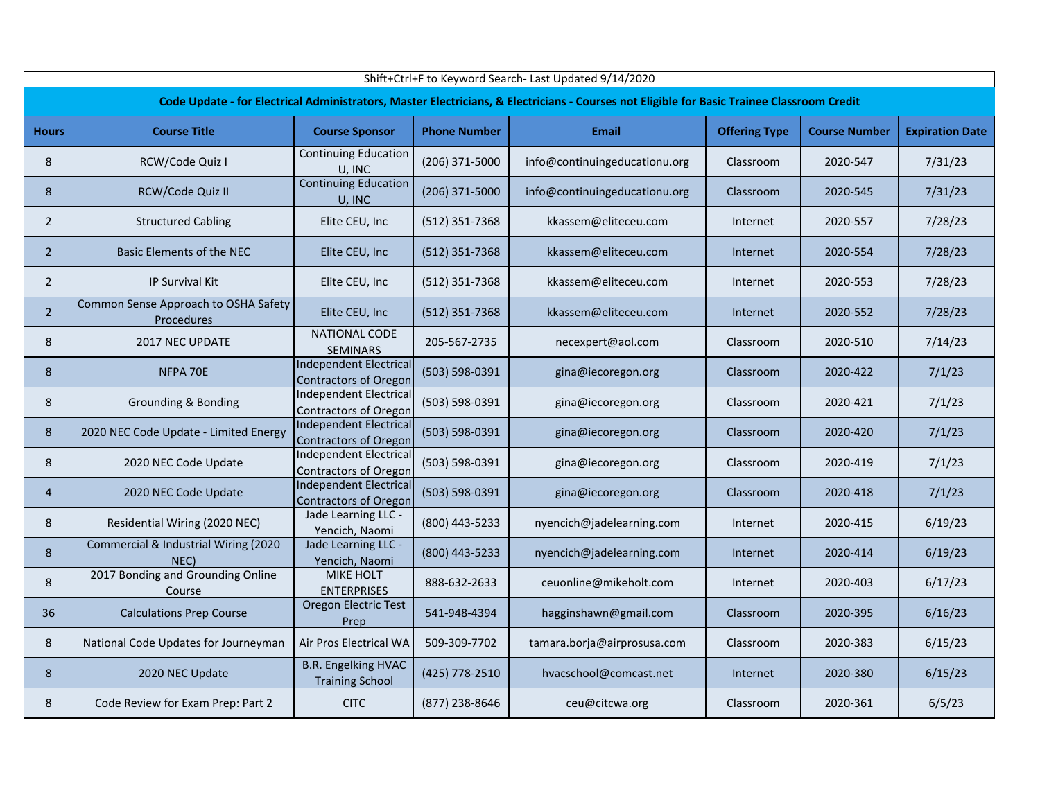|                | Shift+Ctrl+F to Keyword Search- Last Updated 9/14/2020 |                                                               |                     |                                                                                                                                            |                      |                      |                        |  |  |  |  |  |
|----------------|--------------------------------------------------------|---------------------------------------------------------------|---------------------|--------------------------------------------------------------------------------------------------------------------------------------------|----------------------|----------------------|------------------------|--|--|--|--|--|
|                |                                                        |                                                               |                     | Code Update - for Electrical Administrators, Master Electricians, & Electricians - Courses not Eligible for Basic Trainee Classroom Credit |                      |                      |                        |  |  |  |  |  |
| <b>Hours</b>   | <b>Course Title</b>                                    | <b>Course Sponsor</b>                                         | <b>Phone Number</b> | <b>Email</b>                                                                                                                               | <b>Offering Type</b> | <b>Course Number</b> | <b>Expiration Date</b> |  |  |  |  |  |
| 8              | RCW/Code Quiz I                                        | <b>Continuing Education</b><br>U. INC                         | (206) 371-5000      | info@continuingeducationu.org                                                                                                              | Classroom            | 2020-547             | 7/31/23                |  |  |  |  |  |
| 8              | RCW/Code Quiz II                                       | <b>Continuing Education</b><br>U, INC                         | (206) 371-5000      | info@continuingeducationu.org                                                                                                              | Classroom            | 2020-545             | 7/31/23                |  |  |  |  |  |
| $\overline{2}$ | <b>Structured Cabling</b>                              | Elite CEU, Inc                                                | (512) 351-7368      | kkassem@eliteceu.com                                                                                                                       | Internet             | 2020-557             | 7/28/23                |  |  |  |  |  |
| $\overline{2}$ | Basic Elements of the NEC                              | Elite CEU, Inc                                                | (512) 351-7368      | kkassem@eliteceu.com                                                                                                                       | Internet             | 2020-554             | 7/28/23                |  |  |  |  |  |
| $\overline{2}$ | <b>IP Survival Kit</b>                                 | Elite CEU, Inc                                                | (512) 351-7368      | kkassem@eliteceu.com                                                                                                                       | Internet             | 2020-553             | 7/28/23                |  |  |  |  |  |
| $\overline{2}$ | Common Sense Approach to OSHA Safety<br>Procedures     | Elite CEU, Inc                                                | (512) 351-7368      | kkassem@eliteceu.com                                                                                                                       | Internet             | 2020-552             | 7/28/23                |  |  |  |  |  |
| 8              | 2017 NEC UPDATE                                        | NATIONAL CODE<br>SEMINARS                                     | 205-567-2735        | necexpert@aol.com                                                                                                                          | Classroom            | 2020-510             | 7/14/23                |  |  |  |  |  |
| 8              | NFPA 70E                                               | <b>Independent Electrical</b><br><b>Contractors of Oregon</b> | (503) 598-0391      | gina@iecoregon.org                                                                                                                         | Classroom            | 2020-422             | 7/1/23                 |  |  |  |  |  |
| 8              | <b>Grounding &amp; Bonding</b>                         | <b>Independent Electrical</b><br><b>Contractors of Oregon</b> | (503) 598-0391      | gina@iecoregon.org                                                                                                                         | Classroom            | 2020-421             | 7/1/23                 |  |  |  |  |  |
| 8              | 2020 NEC Code Update - Limited Energy                  | <b>Independent Electrical</b><br><b>Contractors of Oregon</b> | (503) 598-0391      | gina@iecoregon.org                                                                                                                         | Classroom            | 2020-420             | 7/1/23                 |  |  |  |  |  |
| 8              | 2020 NEC Code Update                                   | <b>Independent Electrical</b><br><b>Contractors of Oregon</b> | (503) 598-0391      | gina@iecoregon.org                                                                                                                         | Classroom            | 2020-419             | 7/1/23                 |  |  |  |  |  |
| 4              | 2020 NEC Code Update                                   | <b>Independent Electrical</b><br><b>Contractors of Oregon</b> | (503) 598-0391      | gina@iecoregon.org                                                                                                                         | Classroom            | 2020-418             | 7/1/23                 |  |  |  |  |  |
| 8              | Residential Wiring (2020 NEC)                          | Jade Learning LLC -<br>Yencich, Naomi                         | (800) 443-5233      | nyencich@jadelearning.com                                                                                                                  | Internet             | 2020-415             | 6/19/23                |  |  |  |  |  |
| 8              | Commercial & Industrial Wiring (2020<br>NEC)           | Jade Learning LLC -<br>Yencich, Naomi                         | (800) 443-5233      | nyencich@jadelearning.com                                                                                                                  | Internet             | 2020-414             | 6/19/23                |  |  |  |  |  |
| 8              | 2017 Bonding and Grounding Online<br>Course            | <b>MIKE HOLT</b><br><b>ENTERPRISES</b>                        | 888-632-2633        | ceuonline@mikeholt.com                                                                                                                     | Internet             | 2020-403             | 6/17/23                |  |  |  |  |  |
| 36             | <b>Calculations Prep Course</b>                        | Oregon Electric Test<br>Prep                                  | 541-948-4394        | hagginshawn@gmail.com                                                                                                                      | Classroom            | 2020-395             | 6/16/23                |  |  |  |  |  |
| 8              | National Code Updates for Journeyman                   | Air Pros Electrical WA                                        | 509-309-7702        | tamara.borja@airprosusa.com                                                                                                                | Classroom            | 2020-383             | 6/15/23                |  |  |  |  |  |
| 8              | 2020 NEC Update                                        | <b>B.R. Engelking HVAC</b><br><b>Training School</b>          | (425) 778-2510      | hvacschool@comcast.net                                                                                                                     | Internet             | 2020-380             | 6/15/23                |  |  |  |  |  |
| 8              | Code Review for Exam Prep: Part 2                      | <b>CITC</b>                                                   | (877) 238-8646      | ceu@citcwa.org                                                                                                                             | Classroom            | 2020-361             | 6/5/23                 |  |  |  |  |  |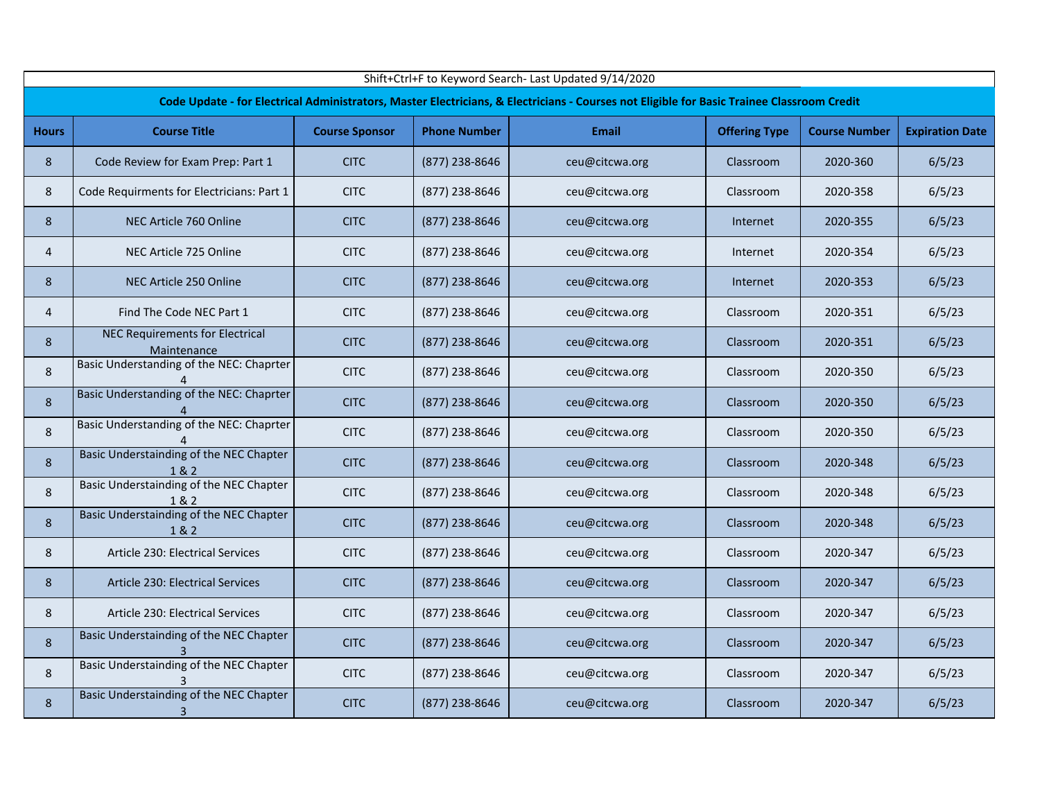|                | Shift+Ctrl+F to Keyword Search- Last Updated 9/14/2020 |                       |                     |                                                                                                                                            |                      |                      |                        |  |  |  |  |  |
|----------------|--------------------------------------------------------|-----------------------|---------------------|--------------------------------------------------------------------------------------------------------------------------------------------|----------------------|----------------------|------------------------|--|--|--|--|--|
|                |                                                        |                       |                     | Code Update - for Electrical Administrators, Master Electricians, & Electricians - Courses not Eligible for Basic Trainee Classroom Credit |                      |                      |                        |  |  |  |  |  |
| <b>Hours</b>   | <b>Course Title</b>                                    | <b>Course Sponsor</b> | <b>Phone Number</b> | <b>Email</b>                                                                                                                               | <b>Offering Type</b> | <b>Course Number</b> | <b>Expiration Date</b> |  |  |  |  |  |
| 8              | Code Review for Exam Prep: Part 1                      | <b>CITC</b>           | (877) 238-8646      | ceu@citcwa.org                                                                                                                             | Classroom            | 2020-360             | 6/5/23                 |  |  |  |  |  |
| 8              | Code Requirments for Electricians: Part 1              | <b>CITC</b>           | (877) 238-8646      | ceu@citcwa.org                                                                                                                             | Classroom            | 2020-358             | 6/5/23                 |  |  |  |  |  |
| 8              | NEC Article 760 Online                                 | <b>CITC</b>           | (877) 238-8646      | ceu@citcwa.org                                                                                                                             | Internet             | 2020-355             | 6/5/23                 |  |  |  |  |  |
| 4              | NEC Article 725 Online                                 | <b>CITC</b>           | (877) 238-8646      | ceu@citcwa.org                                                                                                                             | Internet             | 2020-354             | 6/5/23                 |  |  |  |  |  |
| 8              | NEC Article 250 Online                                 | <b>CITC</b>           | (877) 238-8646      | ceu@citcwa.org                                                                                                                             | Internet             | 2020-353             | 6/5/23                 |  |  |  |  |  |
| $\overline{4}$ | Find The Code NEC Part 1                               | <b>CITC</b>           | (877) 238-8646      | ceu@citcwa.org                                                                                                                             | Classroom            | 2020-351             | 6/5/23                 |  |  |  |  |  |
| 8              | NEC Requirements for Electrical<br>Maintenance         | <b>CITC</b>           | (877) 238-8646      | ceu@citcwa.org                                                                                                                             | Classroom            | 2020-351             | 6/5/23                 |  |  |  |  |  |
| 8              | Basic Understanding of the NEC: Chaprter               | <b>CITC</b>           | (877) 238-8646      | ceu@citcwa.org                                                                                                                             | Classroom            | 2020-350             | 6/5/23                 |  |  |  |  |  |
| 8              | Basic Understanding of the NEC: Chaprter               | <b>CITC</b>           | (877) 238-8646      | ceu@citcwa.org                                                                                                                             | Classroom            | 2020-350             | 6/5/23                 |  |  |  |  |  |
| 8              | Basic Understanding of the NEC: Chaprter<br>4          | <b>CITC</b>           | (877) 238-8646      | ceu@citcwa.org                                                                                                                             | Classroom            | 2020-350             | 6/5/23                 |  |  |  |  |  |
| 8              | Basic Understainding of the NEC Chapter<br>1 & 2       | <b>CITC</b>           | (877) 238-8646      | ceu@citcwa.org                                                                                                                             | Classroom            | 2020-348             | 6/5/23                 |  |  |  |  |  |
| 8              | Basic Understainding of the NEC Chapter<br>1&2         | <b>CITC</b>           | (877) 238-8646      | ceu@citcwa.org                                                                                                                             | Classroom            | 2020-348             | 6/5/23                 |  |  |  |  |  |
| 8              | Basic Understainding of the NEC Chapter<br>1&2         | <b>CITC</b>           | (877) 238-8646      | ceu@citcwa.org                                                                                                                             | Classroom            | 2020-348             | 6/5/23                 |  |  |  |  |  |
| 8              | Article 230: Electrical Services                       | <b>CITC</b>           | (877) 238-8646      | ceu@citcwa.org                                                                                                                             | Classroom            | 2020-347             | 6/5/23                 |  |  |  |  |  |
| 8              | Article 230: Electrical Services                       | <b>CITC</b>           | (877) 238-8646      | ceu@citcwa.org                                                                                                                             | Classroom            | 2020-347             | 6/5/23                 |  |  |  |  |  |
| 8              | Article 230: Electrical Services                       | <b>CITC</b>           | (877) 238-8646      | ceu@citcwa.org                                                                                                                             | Classroom            | 2020-347             | 6/5/23                 |  |  |  |  |  |
| 8              | Basic Understainding of the NEC Chapter                | <b>CITC</b>           | (877) 238-8646      | ceu@citcwa.org                                                                                                                             | Classroom            | 2020-347             | 6/5/23                 |  |  |  |  |  |
| 8              | Basic Understainding of the NEC Chapter                | <b>CITC</b>           | (877) 238-8646      | ceu@citcwa.org                                                                                                                             | Classroom            | 2020-347             | 6/5/23                 |  |  |  |  |  |
| 8              | Basic Understainding of the NEC Chapter<br>3           | <b>CITC</b>           | (877) 238-8646      | ceu@citcwa.org                                                                                                                             | Classroom            | 2020-347             | 6/5/23                 |  |  |  |  |  |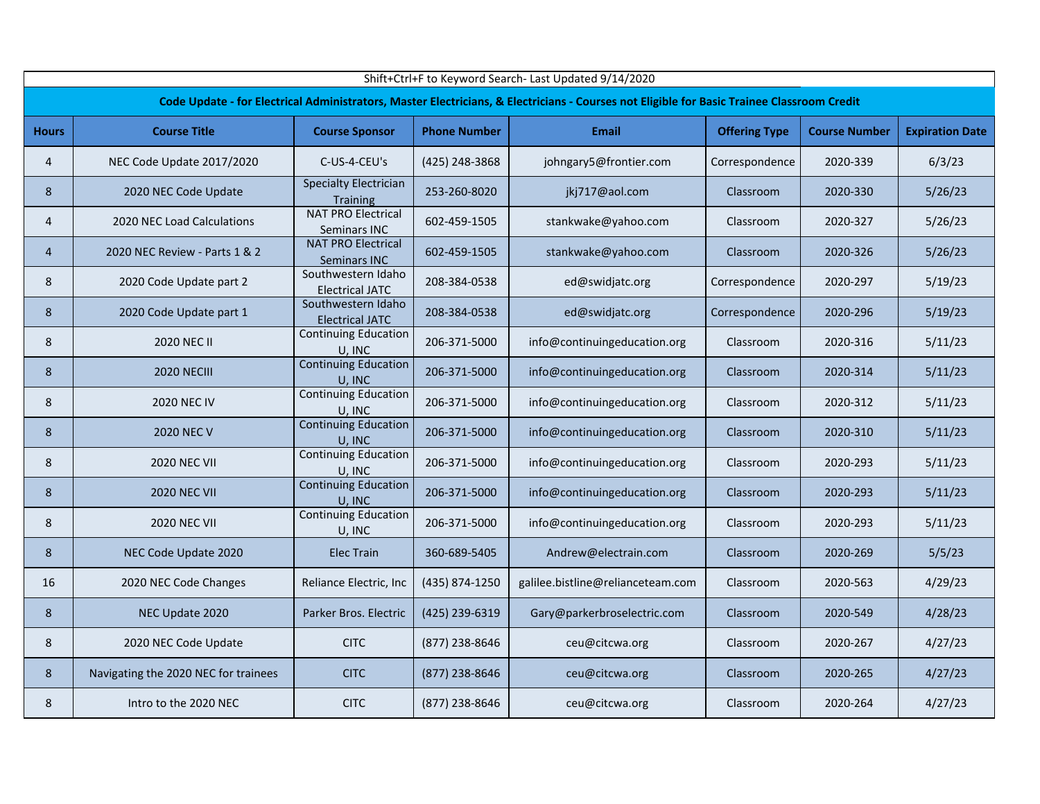|              | Shift+Ctrl+F to Keyword Search- Last Updated 9/14/2020 |                                                  |                     |                                                                                                                                            |                      |                      |                        |  |  |  |  |  |
|--------------|--------------------------------------------------------|--------------------------------------------------|---------------------|--------------------------------------------------------------------------------------------------------------------------------------------|----------------------|----------------------|------------------------|--|--|--|--|--|
|              |                                                        |                                                  |                     | Code Update - for Electrical Administrators, Master Electricians, & Electricians - Courses not Eligible for Basic Trainee Classroom Credit |                      |                      |                        |  |  |  |  |  |
| <b>Hours</b> | <b>Course Title</b>                                    | <b>Course Sponsor</b>                            | <b>Phone Number</b> | <b>Email</b>                                                                                                                               | <b>Offering Type</b> | <b>Course Number</b> | <b>Expiration Date</b> |  |  |  |  |  |
| 4            | NEC Code Update 2017/2020                              | C-US-4-CEU's                                     | (425) 248-3868      | johngary5@frontier.com                                                                                                                     | Correspondence       | 2020-339             | 6/3/23                 |  |  |  |  |  |
| 8            | 2020 NEC Code Update                                   | <b>Specialty Electrician</b><br>Training         | 253-260-8020        | jkj717@aol.com                                                                                                                             | Classroom            | 2020-330             | 5/26/23                |  |  |  |  |  |
| 4            | 2020 NEC Load Calculations                             | <b>NAT PRO Electrical</b><br>Seminars INC        | 602-459-1505        | stankwake@yahoo.com                                                                                                                        | Classroom            | 2020-327             | 5/26/23                |  |  |  |  |  |
| 4            | 2020 NEC Review - Parts 1 & 2                          | <b>NAT PRO Electrical</b><br><b>Seminars INC</b> | 602-459-1505        | stankwake@yahoo.com                                                                                                                        | Classroom            | 2020-326             | 5/26/23                |  |  |  |  |  |
| 8            | 2020 Code Update part 2                                | Southwestern Idaho<br><b>Electrical JATC</b>     | 208-384-0538        | ed@swidjatc.org                                                                                                                            | Correspondence       | 2020-297             | 5/19/23                |  |  |  |  |  |
| 8            | 2020 Code Update part 1                                | Southwestern Idaho<br><b>Electrical JATC</b>     | 208-384-0538        | ed@swidjatc.org                                                                                                                            | Correspondence       | 2020-296             | 5/19/23                |  |  |  |  |  |
| 8            | 2020 NEC II                                            | <b>Continuing Education</b><br>U, INC            | 206-371-5000        | info@continuingeducation.org                                                                                                               | Classroom            | 2020-316             | 5/11/23                |  |  |  |  |  |
| 8            | <b>2020 NECIII</b>                                     | <b>Continuing Education</b><br>U, INC            | 206-371-5000        | info@continuingeducation.org                                                                                                               | Classroom            | 2020-314             | 5/11/23                |  |  |  |  |  |
| 8            | <b>2020 NEC IV</b>                                     | Continuing Education<br>U, INC                   | 206-371-5000        | info@continuingeducation.org                                                                                                               | Classroom            | 2020-312             | 5/11/23                |  |  |  |  |  |
| 8            | <b>2020 NEC V</b>                                      | <b>Continuing Education</b><br>U, INC            | 206-371-5000        | info@continuingeducation.org                                                                                                               | Classroom            | 2020-310             | 5/11/23                |  |  |  |  |  |
| 8            | <b>2020 NEC VII</b>                                    | <b>Continuing Education</b><br>U, INC            | 206-371-5000        | info@continuingeducation.org                                                                                                               | Classroom            | 2020-293             | 5/11/23                |  |  |  |  |  |
| 8            | <b>2020 NEC VII</b>                                    | <b>Continuing Education</b><br>U. INC            | 206-371-5000        | info@continuingeducation.org                                                                                                               | Classroom            | 2020-293             | 5/11/23                |  |  |  |  |  |
| 8            | <b>2020 NEC VII</b>                                    | <b>Continuing Education</b><br>U, INC            | 206-371-5000        | info@continuingeducation.org                                                                                                               | Classroom            | 2020-293             | 5/11/23                |  |  |  |  |  |
| 8            | NEC Code Update 2020                                   | <b>Elec Train</b>                                | 360-689-5405        | Andrew@electrain.com                                                                                                                       | Classroom            | 2020-269             | 5/5/23                 |  |  |  |  |  |
| 16           | 2020 NEC Code Changes                                  | Reliance Electric, Inc                           | (435) 874-1250      | galilee.bistline@relianceteam.com                                                                                                          | Classroom            | 2020-563             | 4/29/23                |  |  |  |  |  |
| 8            | NEC Update 2020                                        | Parker Bros. Electric                            | (425) 239-6319      | Gary@parkerbroselectric.com                                                                                                                | Classroom            | 2020-549             | 4/28/23                |  |  |  |  |  |
| 8            | 2020 NEC Code Update                                   | <b>CITC</b>                                      | (877) 238-8646      | ceu@citcwa.org                                                                                                                             | Classroom            | 2020-267             | 4/27/23                |  |  |  |  |  |
| 8            | Navigating the 2020 NEC for trainees                   | <b>CITC</b>                                      | (877) 238-8646      | ceu@citcwa.org                                                                                                                             | Classroom            | 2020-265             | 4/27/23                |  |  |  |  |  |
| 8            | Intro to the 2020 NEC                                  | <b>CITC</b>                                      | (877) 238-8646      | ceu@citcwa.org                                                                                                                             | Classroom            | 2020-264             | 4/27/23                |  |  |  |  |  |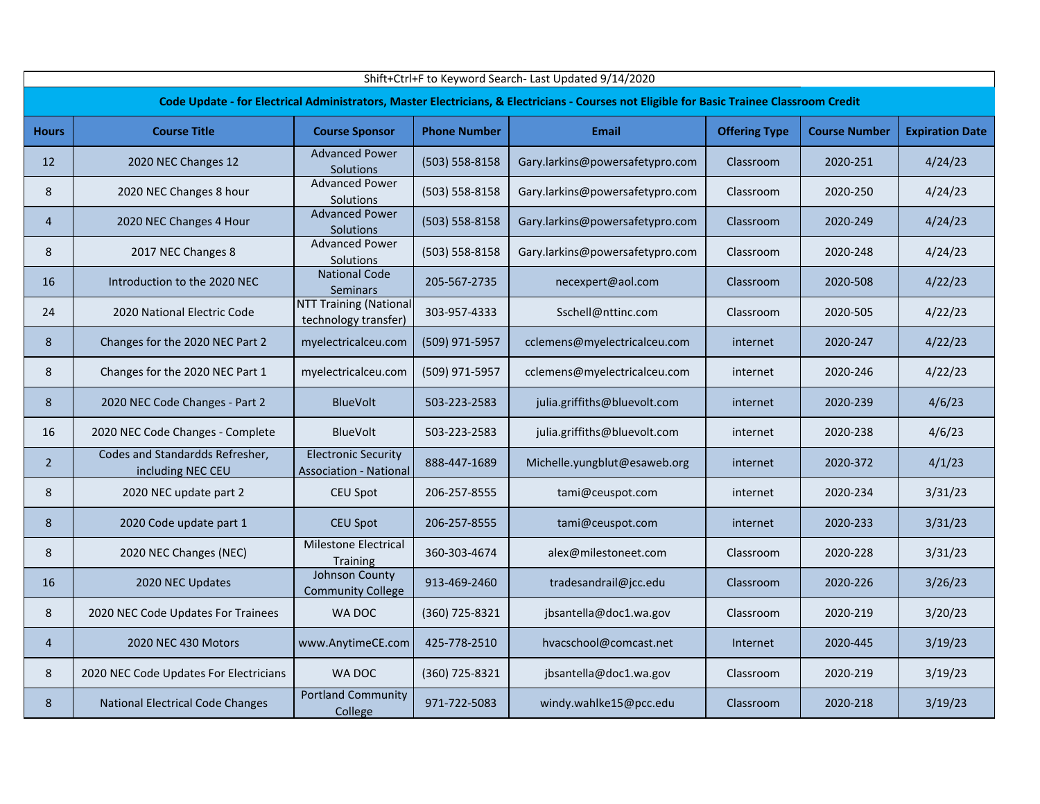|                | Shift+Ctrl+F to Keyword Search- Last Updated 9/14/2020 |                                                             |                     |                                                                                                                                            |                      |                      |                        |  |  |  |  |  |
|----------------|--------------------------------------------------------|-------------------------------------------------------------|---------------------|--------------------------------------------------------------------------------------------------------------------------------------------|----------------------|----------------------|------------------------|--|--|--|--|--|
|                |                                                        |                                                             |                     | Code Update - for Electrical Administrators, Master Electricians, & Electricians - Courses not Eligible for Basic Trainee Classroom Credit |                      |                      |                        |  |  |  |  |  |
| <b>Hours</b>   | <b>Course Title</b>                                    | <b>Course Sponsor</b>                                       | <b>Phone Number</b> | <b>Email</b>                                                                                                                               | <b>Offering Type</b> | <b>Course Number</b> | <b>Expiration Date</b> |  |  |  |  |  |
| 12             | 2020 NEC Changes 12                                    | <b>Advanced Power</b><br><b>Solutions</b>                   | (503) 558-8158      | Gary.larkins@powersafetypro.com                                                                                                            | Classroom            | 2020-251             | 4/24/23                |  |  |  |  |  |
| 8              | 2020 NEC Changes 8 hour                                | <b>Advanced Power</b><br>Solutions                          | (503) 558-8158      | Gary.larkins@powersafetypro.com                                                                                                            | Classroom            | 2020-250             | 4/24/23                |  |  |  |  |  |
| $\overline{4}$ | 2020 NEC Changes 4 Hour                                | <b>Advanced Power</b><br>Solutions                          | (503) 558-8158      | Gary.larkins@powersafetypro.com                                                                                                            | Classroom            | 2020-249             | 4/24/23                |  |  |  |  |  |
| 8              | 2017 NEC Changes 8                                     | <b>Advanced Power</b><br>Solutions                          | (503) 558-8158      | Gary.larkins@powersafetypro.com                                                                                                            | Classroom            | 2020-248             | 4/24/23                |  |  |  |  |  |
| 16             | Introduction to the 2020 NEC                           | <b>National Code</b><br><b>Seminars</b>                     | 205-567-2735        | necexpert@aol.com                                                                                                                          | Classroom            | 2020-508             | 4/22/23                |  |  |  |  |  |
| 24             | 2020 National Electric Code                            | <b>NTT Training (National</b><br>technology transfer)       | 303-957-4333        | Sschell@nttinc.com                                                                                                                         | Classroom            | 2020-505             | 4/22/23                |  |  |  |  |  |
| 8              | Changes for the 2020 NEC Part 2                        | myelectricalceu.com                                         | (509) 971-5957      | cclemens@myelectricalceu.com                                                                                                               | internet             | 2020-247             | 4/22/23                |  |  |  |  |  |
| 8              | Changes for the 2020 NEC Part 1                        | myelectricalceu.com                                         | (509) 971-5957      | cclemens@myelectricalceu.com                                                                                                               | internet             | 2020-246             | 4/22/23                |  |  |  |  |  |
| 8              | 2020 NEC Code Changes - Part 2                         | <b>BlueVolt</b>                                             | 503-223-2583        | julia.griffiths@bluevolt.com                                                                                                               | internet             | 2020-239             | 4/6/23                 |  |  |  |  |  |
| 16             | 2020 NEC Code Changes - Complete                       | BlueVolt                                                    | 503-223-2583        | julia.griffiths@bluevolt.com                                                                                                               | internet             | 2020-238             | 4/6/23                 |  |  |  |  |  |
| $2^{\circ}$    | Codes and Standardds Refresher,<br>including NEC CEU   | <b>Electronic Security</b><br><b>Association - National</b> | 888-447-1689        | Michelle.yungblut@esaweb.org                                                                                                               | internet             | 2020-372             | 4/1/23                 |  |  |  |  |  |
| 8              | 2020 NEC update part 2                                 | CEU Spot                                                    | 206-257-8555        | tami@ceuspot.com                                                                                                                           | internet             | 2020-234             | 3/31/23                |  |  |  |  |  |
| 8              | 2020 Code update part 1                                | <b>CEU Spot</b>                                             | 206-257-8555        | tami@ceuspot.com                                                                                                                           | internet             | 2020-233             | 3/31/23                |  |  |  |  |  |
| 8              | 2020 NEC Changes (NEC)                                 | Milestone Electrical<br><b>Training</b>                     | 360-303-4674        | alex@milestoneet.com                                                                                                                       | Classroom            | 2020-228             | 3/31/23                |  |  |  |  |  |
| 16             | 2020 NEC Updates                                       | Johnson County<br><b>Community College</b>                  | 913-469-2460        | tradesandrail@jcc.edu                                                                                                                      | Classroom            | 2020-226             | 3/26/23                |  |  |  |  |  |
| 8              | 2020 NEC Code Updates For Trainees                     | WA DOC                                                      | (360) 725-8321      | jbsantella@doc1.wa.gov                                                                                                                     | Classroom            | 2020-219             | 3/20/23                |  |  |  |  |  |
| $\overline{4}$ | 2020 NEC 430 Motors                                    | www.AnytimeCE.com                                           | 425-778-2510        | hvacschool@comcast.net                                                                                                                     | Internet             | 2020-445             | 3/19/23                |  |  |  |  |  |
| 8              | 2020 NEC Code Updates For Electricians                 | WA DOC                                                      | (360) 725-8321      | jbsantella@doc1.wa.gov                                                                                                                     | Classroom            | 2020-219             | 3/19/23                |  |  |  |  |  |
| 8              | National Electrical Code Changes                       | <b>Portland Community</b><br>College                        | 971-722-5083        | windy.wahlke15@pcc.edu                                                                                                                     | Classroom            | 2020-218             | 3/19/23                |  |  |  |  |  |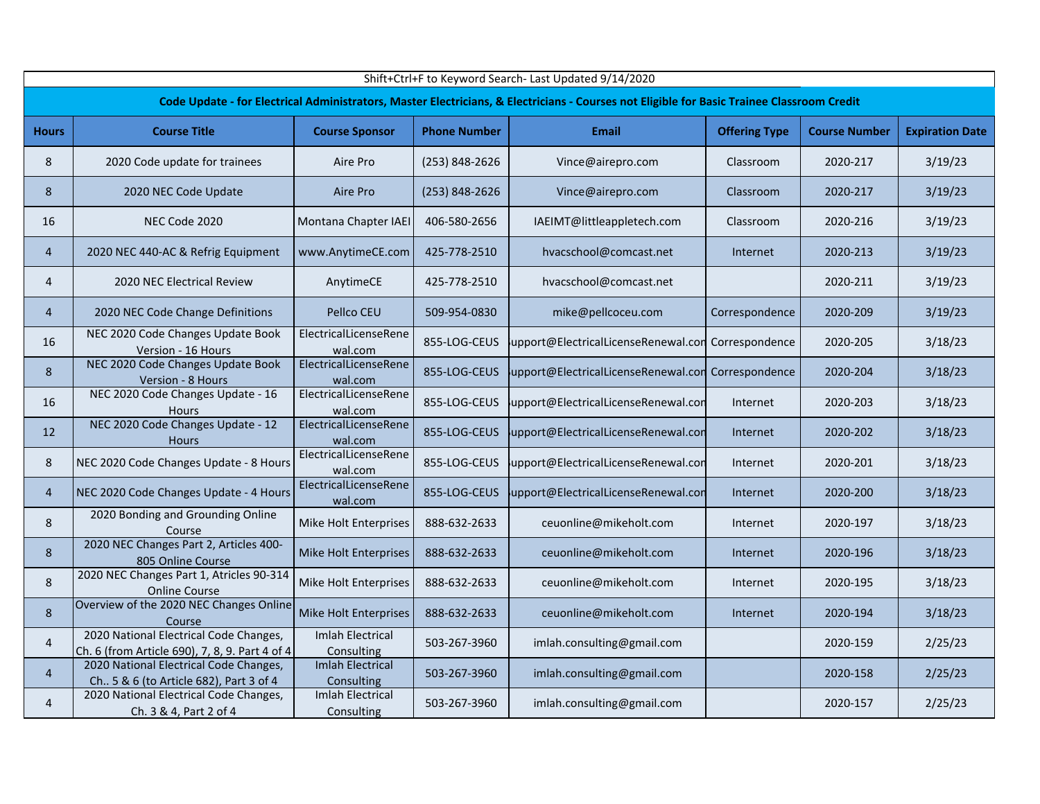|                | Shift+Ctrl+F to Keyword Search- Last Updated 9/14/2020                                   |                                       |                     |                                                                                                                                            |                      |                      |                        |  |  |  |  |
|----------------|------------------------------------------------------------------------------------------|---------------------------------------|---------------------|--------------------------------------------------------------------------------------------------------------------------------------------|----------------------|----------------------|------------------------|--|--|--|--|
|                |                                                                                          |                                       |                     | Code Update - for Electrical Administrators, Master Electricians, & Electricians - Courses not Eligible for Basic Trainee Classroom Credit |                      |                      |                        |  |  |  |  |
| <b>Hours</b>   | <b>Course Title</b>                                                                      | <b>Course Sponsor</b>                 | <b>Phone Number</b> | <b>Email</b>                                                                                                                               | <b>Offering Type</b> | <b>Course Number</b> | <b>Expiration Date</b> |  |  |  |  |
| 8              | 2020 Code update for trainees                                                            | Aire Pro                              | (253) 848-2626      | Vince@airepro.com                                                                                                                          | Classroom            | 2020-217             | 3/19/23                |  |  |  |  |
| 8              | 2020 NEC Code Update                                                                     | Aire Pro                              | (253) 848-2626      | Vince@airepro.com                                                                                                                          | Classroom            | 2020-217             | 3/19/23                |  |  |  |  |
| 16             | NEC Code 2020                                                                            | Montana Chapter IAEI                  | 406-580-2656        | IAEIMT@littleappletech.com                                                                                                                 | Classroom            | 2020-216             | 3/19/23                |  |  |  |  |
| 4              | 2020 NEC 440-AC & Refrig Equipment                                                       | www.AnytimeCE.com                     | 425-778-2510        | hvacschool@comcast.net                                                                                                                     | Internet             | 2020-213             | 3/19/23                |  |  |  |  |
| 4              | <b>2020 NEC Electrical Review</b>                                                        | AnytimeCE                             | 425-778-2510        | hvacschool@comcast.net                                                                                                                     |                      | 2020-211             | 3/19/23                |  |  |  |  |
| 4              | 2020 NEC Code Change Definitions                                                         | Pellco CEU                            | 509-954-0830        | mike@pellcoceu.com                                                                                                                         | Correspondence       | 2020-209             | 3/19/23                |  |  |  |  |
| 16             | NEC 2020 Code Changes Update Book<br>Version - 16 Hours                                  | ElectricalLicenseRene<br>wal.com      | 855-LOG-CEUS        | upport@ElectricalLicenseRenewal.con                                                                                                        | Correspondence       | 2020-205             | 3/18/23                |  |  |  |  |
| 8              | NEC 2020 Code Changes Update Book<br>Version - 8 Hours                                   | ElectricalLicenseRene<br>wal.com      | 855-LOG-CEUS        | upport@ElectricalLicenseRenewal.con Correspondence                                                                                         |                      | 2020-204             | 3/18/23                |  |  |  |  |
| 16             | NEC 2020 Code Changes Update - 16<br><b>Hours</b>                                        | ElectricalLicenseRene<br>wal.com      | 855-LOG-CEUS        | upport@ElectricalLicenseRenewal.con                                                                                                        | Internet             | 2020-203             | 3/18/23                |  |  |  |  |
| 12             | NEC 2020 Code Changes Update - 12<br><b>Hours</b>                                        | ElectricalLicenseRene<br>wal.com      | 855-LOG-CEUS        | upport@ElectricalLicenseRenewal.con                                                                                                        | Internet             | 2020-202             | 3/18/23                |  |  |  |  |
| 8              | NEC 2020 Code Changes Update - 8 Hours                                                   | ElectricalLicenseRene<br>wal.com      | 855-LOG-CEUS        | upport@ElectricalLicenseRenewal.com                                                                                                        | Internet             | 2020-201             | 3/18/23                |  |  |  |  |
| $\overline{4}$ | NEC 2020 Code Changes Update - 4 Hours                                                   | ElectricalLicenseRene<br>wal.com      | 855-LOG-CEUS        | upport@ElectricalLicenseRenewal.con                                                                                                        | Internet             | 2020-200             | 3/18/23                |  |  |  |  |
| 8              | 2020 Bonding and Grounding Online<br>Course                                              | Mike Holt Enterprises                 | 888-632-2633        | ceuonline@mikeholt.com                                                                                                                     | Internet             | 2020-197             | 3/18/23                |  |  |  |  |
| 8              | 2020 NEC Changes Part 2, Articles 400-<br>805 Online Course                              | Mike Holt Enterprises                 | 888-632-2633        | ceuonline@mikeholt.com                                                                                                                     | Internet             | 2020-196             | 3/18/23                |  |  |  |  |
| 8              | 2020 NEC Changes Part 1, Atricles 90-314<br><b>Online Course</b>                         | Mike Holt Enterprises                 | 888-632-2633        | ceuonline@mikeholt.com                                                                                                                     | Internet             | 2020-195             | 3/18/23                |  |  |  |  |
| 8              | Overview of the 2020 NEC Changes Online<br>Course                                        | Mike Holt Enterprises                 | 888-632-2633        | ceuonline@mikeholt.com                                                                                                                     | Internet             | 2020-194             | 3/18/23                |  |  |  |  |
| 4              | 2020 National Electrical Code Changes,<br>Ch. 6 (from Article 690), 7, 8, 9. Part 4 of 4 | <b>Imlah Electrical</b><br>Consulting | 503-267-3960        | imlah.consulting@gmail.com                                                                                                                 |                      | 2020-159             | 2/25/23                |  |  |  |  |
| $\overline{4}$ | 2020 National Electrical Code Changes,<br>Ch 5 & 6 (to Article 682), Part 3 of 4         | <b>Imlah Electrical</b><br>Consulting | 503-267-3960        | imlah.consulting@gmail.com                                                                                                                 |                      | 2020-158             | 2/25/23                |  |  |  |  |
| 4              | 2020 National Electrical Code Changes,<br>Ch. 3 & 4, Part 2 of 4                         | <b>Imlah Electrical</b><br>Consulting | 503-267-3960        | imlah.consulting@gmail.com                                                                                                                 |                      | 2020-157             | 2/25/23                |  |  |  |  |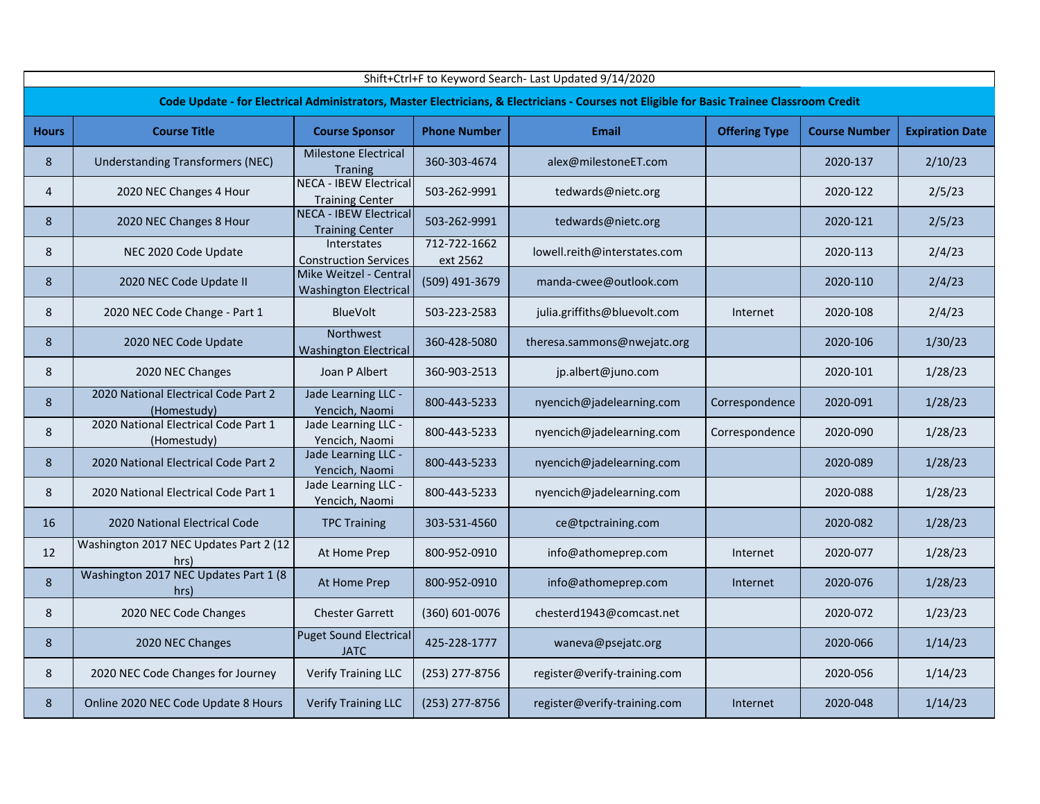|                | Shift+Ctrl+F to Keyword Search- Last Updated 9/14/2020 |                                                         |                          |                                                                                                                                            |                      |                      |                        |  |  |  |  |  |
|----------------|--------------------------------------------------------|---------------------------------------------------------|--------------------------|--------------------------------------------------------------------------------------------------------------------------------------------|----------------------|----------------------|------------------------|--|--|--|--|--|
|                |                                                        |                                                         |                          | Code Update - for Electrical Administrators, Master Electricians, & Electricians - Courses not Eligible for Basic Trainee Classroom Credit |                      |                      |                        |  |  |  |  |  |
| <b>Hours</b>   | <b>Course Title</b>                                    | <b>Course Sponsor</b>                                   | <b>Phone Number</b>      | <b>Email</b>                                                                                                                               | <b>Offering Type</b> | <b>Course Number</b> | <b>Expiration Date</b> |  |  |  |  |  |
| 8              | <b>Understanding Transformers (NEC)</b>                | <b>Milestone Electrical</b><br><b>Traning</b>           | 360-303-4674             | alex@milestoneET.com                                                                                                                       |                      | 2020-137             | 2/10/23                |  |  |  |  |  |
| $\overline{4}$ | 2020 NEC Changes 4 Hour                                | <b>NECA - IBEW Electrical</b><br><b>Training Center</b> | 503-262-9991             | tedwards@nietc.org                                                                                                                         |                      | 2020-122             | 2/5/23                 |  |  |  |  |  |
| 8              | 2020 NEC Changes 8 Hour                                | <b>NECA - IBEW Electrical</b><br><b>Training Center</b> | 503-262-9991             | tedwards@nietc.org                                                                                                                         |                      | 2020-121             | 2/5/23                 |  |  |  |  |  |
| 8              | NEC 2020 Code Update                                   | Interstates<br><b>Construction Services</b>             | 712-722-1662<br>ext 2562 | lowell.reith@interstates.com                                                                                                               |                      | 2020-113             | 2/4/23                 |  |  |  |  |  |
| 8              | 2020 NEC Code Update II                                | Mike Weitzel - Central<br><b>Washington Electrical</b>  | (509) 491-3679           | manda-cwee@outlook.com                                                                                                                     |                      | 2020-110             | 2/4/23                 |  |  |  |  |  |
| 8              | 2020 NEC Code Change - Part 1                          | <b>BlueVolt</b>                                         | 503-223-2583             | julia.griffiths@bluevolt.com                                                                                                               | Internet             | 2020-108             | 2/4/23                 |  |  |  |  |  |
| 8              | 2020 NEC Code Update                                   | Northwest<br><b>Washington Electrical</b>               | 360-428-5080             | theresa.sammons@nwejatc.org                                                                                                                |                      | 2020-106             | 1/30/23                |  |  |  |  |  |
| 8              | 2020 NEC Changes                                       | Joan P Albert                                           | 360-903-2513             | jp.albert@juno.com                                                                                                                         |                      | 2020-101             | 1/28/23                |  |  |  |  |  |
| 8              | 2020 National Electrical Code Part 2<br>(Homestudy)    | Jade Learning LLC -<br>Yencich, Naomi                   | 800-443-5233             | nyencich@jadelearning.com                                                                                                                  | Correspondence       | 2020-091             | 1/28/23                |  |  |  |  |  |
| 8              | 2020 National Electrical Code Part 1<br>(Homestudy)    | Jade Learning LLC -<br>Yencich, Naomi                   | 800-443-5233             | nyencich@jadelearning.com                                                                                                                  | Correspondence       | 2020-090             | 1/28/23                |  |  |  |  |  |
| 8              | 2020 National Electrical Code Part 2                   | Jade Learning LLC -<br>Yencich, Naomi                   | 800-443-5233             | nyencich@jadelearning.com                                                                                                                  |                      | 2020-089             | 1/28/23                |  |  |  |  |  |
| 8              | 2020 National Electrical Code Part 1                   | Jade Learning LLC -<br>Yencich, Naomi                   | 800-443-5233             | nyencich@jadelearning.com                                                                                                                  |                      | 2020-088             | 1/28/23                |  |  |  |  |  |
| 16             | 2020 National Electrical Code                          | <b>TPC Training</b>                                     | 303-531-4560             | ce@tpctraining.com                                                                                                                         |                      | 2020-082             | 1/28/23                |  |  |  |  |  |
| 12             | Washington 2017 NEC Updates Part 2 (12<br>hrs)         | At Home Prep                                            | 800-952-0910             | info@athomeprep.com                                                                                                                        | Internet             | 2020-077             | 1/28/23                |  |  |  |  |  |
| $\,8\,$        | Washington 2017 NEC Updates Part 1 (8<br>hrs)          | At Home Prep                                            | 800-952-0910             | info@athomeprep.com                                                                                                                        | Internet             | 2020-076             | 1/28/23                |  |  |  |  |  |
| 8              | 2020 NEC Code Changes                                  | <b>Chester Garrett</b>                                  | (360) 601-0076           | chesterd1943@comcast.net                                                                                                                   |                      | 2020-072             | 1/23/23                |  |  |  |  |  |
| 8              | 2020 NEC Changes                                       | <b>Puget Sound Electrical</b><br><b>JATC</b>            | 425-228-1777             | waneva@psejatc.org                                                                                                                         |                      | 2020-066             | 1/14/23                |  |  |  |  |  |
| 8              | 2020 NEC Code Changes for Journey                      | <b>Verify Training LLC</b>                              | (253) 277-8756           | register@verify-training.com                                                                                                               |                      | 2020-056             | 1/14/23                |  |  |  |  |  |
| 8              | Online 2020 NEC Code Update 8 Hours                    | <b>Verify Training LLC</b>                              | (253) 277-8756           | register@verify-training.com                                                                                                               | Internet             | 2020-048             | 1/14/23                |  |  |  |  |  |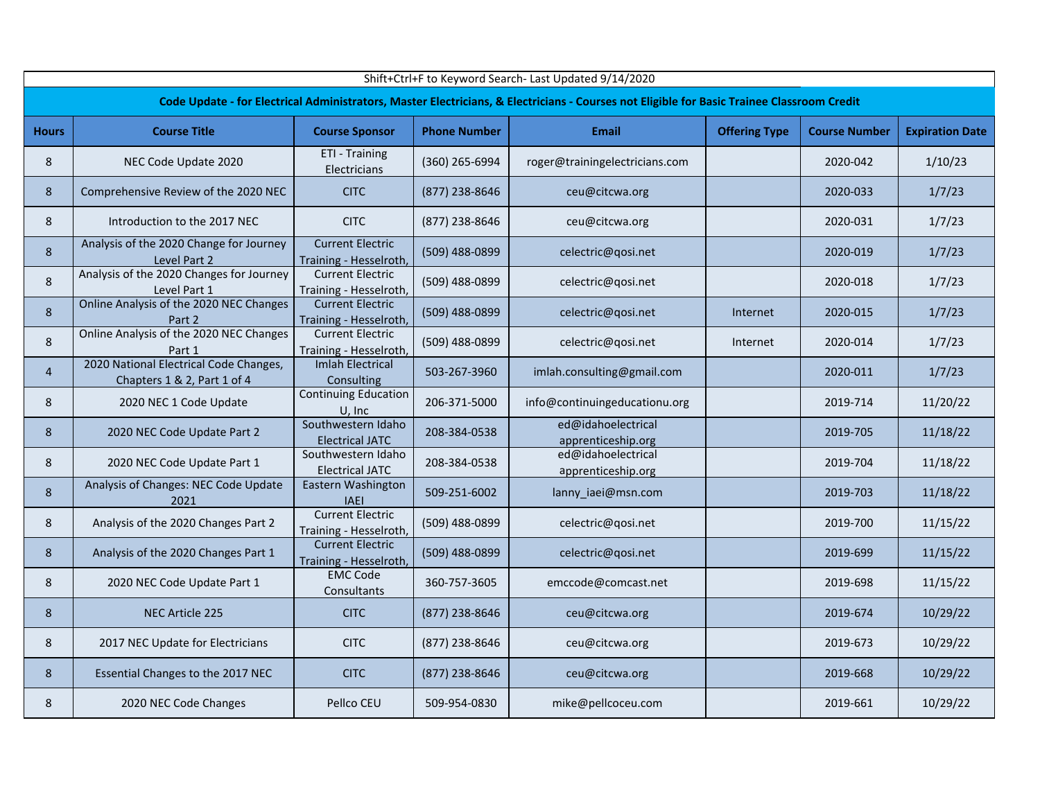|                | Shift+Ctrl+F to Keyword Search- Last Updated 9/14/2020                |                                                   |                     |                                                                                                                                            |                      |                      |                        |  |  |  |  |  |
|----------------|-----------------------------------------------------------------------|---------------------------------------------------|---------------------|--------------------------------------------------------------------------------------------------------------------------------------------|----------------------|----------------------|------------------------|--|--|--|--|--|
|                |                                                                       |                                                   |                     | Code Update - for Electrical Administrators, Master Electricians, & Electricians - Courses not Eligible for Basic Trainee Classroom Credit |                      |                      |                        |  |  |  |  |  |
| <b>Hours</b>   | <b>Course Title</b>                                                   | <b>Course Sponsor</b>                             | <b>Phone Number</b> | <b>Email</b>                                                                                                                               | <b>Offering Type</b> | <b>Course Number</b> | <b>Expiration Date</b> |  |  |  |  |  |
| 8              | NEC Code Update 2020                                                  | ETI - Training<br>Electricians                    | (360) 265-6994      | roger@trainingelectricians.com                                                                                                             |                      | 2020-042             | 1/10/23                |  |  |  |  |  |
| 8              | Comprehensive Review of the 2020 NEC                                  | <b>CITC</b>                                       | (877) 238-8646      | ceu@citcwa.org                                                                                                                             |                      | 2020-033             | 1/7/23                 |  |  |  |  |  |
| 8              | Introduction to the 2017 NEC                                          | <b>CITC</b>                                       | (877) 238-8646      | ceu@citcwa.org                                                                                                                             |                      | 2020-031             | 1/7/23                 |  |  |  |  |  |
| 8              | Analysis of the 2020 Change for Journey<br>Level Part 2               | <b>Current Electric</b><br>Training - Hesselroth, | (509) 488-0899      | celectric@qosi.net                                                                                                                         |                      | 2020-019             | 1/7/23                 |  |  |  |  |  |
| 8              | Analysis of the 2020 Changes for Journey<br>Level Part 1              | <b>Current Electric</b><br>Training - Hesselroth, | (509) 488-0899      | celectric@qosi.net                                                                                                                         |                      | 2020-018             | 1/7/23                 |  |  |  |  |  |
| 8              | Online Analysis of the 2020 NEC Changes<br>Part 2                     | <b>Current Electric</b><br>Training - Hesselroth, | (509) 488-0899      | celectric@qosi.net                                                                                                                         | Internet             | 2020-015             | 1/7/23                 |  |  |  |  |  |
| 8              | Online Analysis of the 2020 NEC Changes<br>Part 1                     | <b>Current Electric</b><br>Training - Hesselroth, | (509) 488-0899      | celectric@qosi.net                                                                                                                         | Internet             | 2020-014             | 1/7/23                 |  |  |  |  |  |
| $\overline{4}$ | 2020 National Electrical Code Changes,<br>Chapters 1 & 2, Part 1 of 4 | <b>Imlah Electrical</b><br>Consulting             | 503-267-3960        | imlah.consulting@gmail.com                                                                                                                 |                      | 2020-011             | 1/7/23                 |  |  |  |  |  |
| 8              | 2020 NEC 1 Code Update                                                | <b>Continuing Education</b><br>U, Inc             | 206-371-5000        | info@continuingeducationu.org                                                                                                              |                      | 2019-714             | 11/20/22               |  |  |  |  |  |
| 8              | 2020 NEC Code Update Part 2                                           | Southwestern Idaho<br><b>Electrical JATC</b>      | 208-384-0538        | ed@idahoelectrical<br>apprenticeship.org                                                                                                   |                      | 2019-705             | 11/18/22               |  |  |  |  |  |
| 8              | 2020 NEC Code Update Part 1                                           | Southwestern Idaho<br><b>Electrical JATC</b>      | 208-384-0538        | ed@idahoelectrical<br>apprenticeship.org                                                                                                   |                      | 2019-704             | 11/18/22               |  |  |  |  |  |
| 8              | Analysis of Changes: NEC Code Update<br>2021                          | Eastern Washington<br><b>IAEI</b>                 | 509-251-6002        | lanny_iaei@msn.com                                                                                                                         |                      | 2019-703             | 11/18/22               |  |  |  |  |  |
| 8              | Analysis of the 2020 Changes Part 2                                   | <b>Current Electric</b><br>Training - Hesselroth, | (509) 488-0899      | celectric@qosi.net                                                                                                                         |                      | 2019-700             | 11/15/22               |  |  |  |  |  |
| 8              | Analysis of the 2020 Changes Part 1                                   | <b>Current Electric</b><br>Training - Hesselroth, | (509) 488-0899      | celectric@qosi.net                                                                                                                         |                      | 2019-699             | 11/15/22               |  |  |  |  |  |
| 8              | 2020 NEC Code Update Part 1                                           | <b>EMC Code</b><br>Consultants                    | 360-757-3605        | emccode@comcast.net                                                                                                                        |                      | 2019-698             | 11/15/22               |  |  |  |  |  |
| 8              | <b>NEC Article 225</b>                                                | <b>CITC</b>                                       | (877) 238-8646      | ceu@citcwa.org                                                                                                                             |                      | 2019-674             | 10/29/22               |  |  |  |  |  |
| 8              | 2017 NEC Update for Electricians                                      | <b>CITC</b>                                       | (877) 238-8646      | ceu@citcwa.org                                                                                                                             |                      | 2019-673             | 10/29/22               |  |  |  |  |  |
| 8              | Essential Changes to the 2017 NEC                                     | <b>CITC</b>                                       | (877) 238-8646      | ceu@citcwa.org                                                                                                                             |                      | 2019-668             | 10/29/22               |  |  |  |  |  |
| 8              | 2020 NEC Code Changes                                                 | Pellco CEU                                        | 509-954-0830        | mike@pellcoceu.com                                                                                                                         |                      | 2019-661             | 10/29/22               |  |  |  |  |  |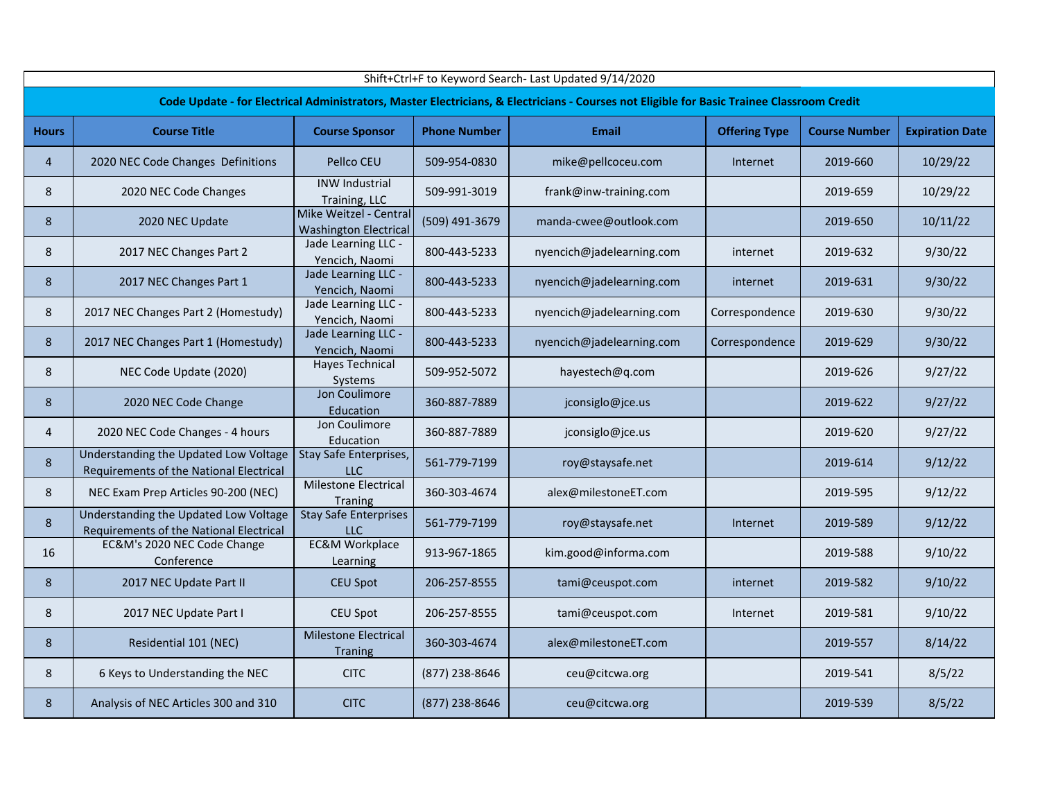|                | Shift+Ctrl+F to Keyword Search- Last Updated 9/14/2020                           |                                                        |                     |                                                                                                                                            |                      |                      |                        |  |  |  |  |  |
|----------------|----------------------------------------------------------------------------------|--------------------------------------------------------|---------------------|--------------------------------------------------------------------------------------------------------------------------------------------|----------------------|----------------------|------------------------|--|--|--|--|--|
|                |                                                                                  |                                                        |                     | Code Update - for Electrical Administrators, Master Electricians, & Electricians - Courses not Eligible for Basic Trainee Classroom Credit |                      |                      |                        |  |  |  |  |  |
| <b>Hours</b>   | <b>Course Title</b>                                                              | <b>Course Sponsor</b>                                  | <b>Phone Number</b> | <b>Email</b>                                                                                                                               | <b>Offering Type</b> | <b>Course Number</b> | <b>Expiration Date</b> |  |  |  |  |  |
| $\overline{4}$ | 2020 NEC Code Changes Definitions                                                | Pellco CEU                                             | 509-954-0830        | mike@pellcoceu.com                                                                                                                         | Internet             | 2019-660             | 10/29/22               |  |  |  |  |  |
| 8              | 2020 NEC Code Changes                                                            | <b>INW Industrial</b><br>Training, LLC                 | 509-991-3019        | frank@inw-training.com                                                                                                                     |                      | 2019-659             | 10/29/22               |  |  |  |  |  |
| 8              | 2020 NEC Update                                                                  | Mike Weitzel - Central<br><b>Washington Electrical</b> | (509) 491-3679      | manda-cwee@outlook.com                                                                                                                     |                      | 2019-650             | 10/11/22               |  |  |  |  |  |
| 8              | 2017 NEC Changes Part 2                                                          | Jade Learning LLC -<br>Yencich, Naomi                  | 800-443-5233        | nyencich@jadelearning.com                                                                                                                  | internet             | 2019-632             | 9/30/22                |  |  |  |  |  |
| 8              | 2017 NEC Changes Part 1                                                          | Jade Learning LLC -<br>Yencich, Naomi                  | 800-443-5233        | nyencich@jadelearning.com                                                                                                                  | internet             | 2019-631             | 9/30/22                |  |  |  |  |  |
| 8              | 2017 NEC Changes Part 2 (Homestudy)                                              | Jade Learning LLC -<br>Yencich, Naomi                  | 800-443-5233        | nyencich@jadelearning.com                                                                                                                  | Correspondence       | 2019-630             | 9/30/22                |  |  |  |  |  |
| 8              | 2017 NEC Changes Part 1 (Homestudy)                                              | Jade Learning LLC -<br>Yencich, Naomi                  | 800-443-5233        | nyencich@jadelearning.com                                                                                                                  | Correspondence       | 2019-629             | 9/30/22                |  |  |  |  |  |
| 8              | NEC Code Update (2020)                                                           | <b>Hayes Technical</b><br>Systems                      | 509-952-5072        | hayestech@q.com                                                                                                                            |                      | 2019-626             | 9/27/22                |  |  |  |  |  |
| 8              | 2020 NEC Code Change                                                             | Jon Coulimore<br>Education                             | 360-887-7889        | jconsiglo@jce.us                                                                                                                           |                      | 2019-622             | 9/27/22                |  |  |  |  |  |
| $\overline{4}$ | 2020 NEC Code Changes - 4 hours                                                  | Jon Coulimore<br>Education                             | 360-887-7889        | jconsiglo@jce.us                                                                                                                           |                      | 2019-620             | 9/27/22                |  |  |  |  |  |
| 8              | Understanding the Updated Low Voltage<br>Requirements of the National Electrical | Stay Safe Enterprises,<br><b>LLC</b>                   | 561-779-7199        | roy@staysafe.net                                                                                                                           |                      | 2019-614             | 9/12/22                |  |  |  |  |  |
| 8              | NEC Exam Prep Articles 90-200 (NEC)                                              | Milestone Electrical<br>Traning                        | 360-303-4674        | alex@milestoneET.com                                                                                                                       |                      | 2019-595             | 9/12/22                |  |  |  |  |  |
| 8              | Understanding the Updated Low Voltage<br>Requirements of the National Electrical | <b>Stay Safe Enterprises</b><br>LLC                    | 561-779-7199        | roy@staysafe.net                                                                                                                           | Internet             | 2019-589             | 9/12/22                |  |  |  |  |  |
| 16             | EC&M's 2020 NEC Code Change<br>Conference                                        | <b>EC&amp;M Workplace</b><br>Learning                  | 913-967-1865        | kim.good@informa.com                                                                                                                       |                      | 2019-588             | 9/10/22                |  |  |  |  |  |
| 8              | 2017 NEC Update Part II                                                          | <b>CEU Spot</b>                                        | 206-257-8555        | tami@ceuspot.com                                                                                                                           | internet             | 2019-582             | 9/10/22                |  |  |  |  |  |
| 8              | 2017 NEC Update Part I                                                           | <b>CEU Spot</b>                                        | 206-257-8555        | tami@ceuspot.com                                                                                                                           | Internet             | 2019-581             | 9/10/22                |  |  |  |  |  |
| 8              | Residential 101 (NEC)                                                            | <b>Milestone Electrical</b><br><b>Traning</b>          | 360-303-4674        | alex@milestoneET.com                                                                                                                       |                      | 2019-557             | 8/14/22                |  |  |  |  |  |
| 8              | 6 Keys to Understanding the NEC                                                  | <b>CITC</b>                                            | (877) 238-8646      | ceu@citcwa.org                                                                                                                             |                      | 2019-541             | 8/5/22                 |  |  |  |  |  |
| 8              | Analysis of NEC Articles 300 and 310                                             | <b>CITC</b>                                            | (877) 238-8646      | ceu@citcwa.org                                                                                                                             |                      | 2019-539             | 8/5/22                 |  |  |  |  |  |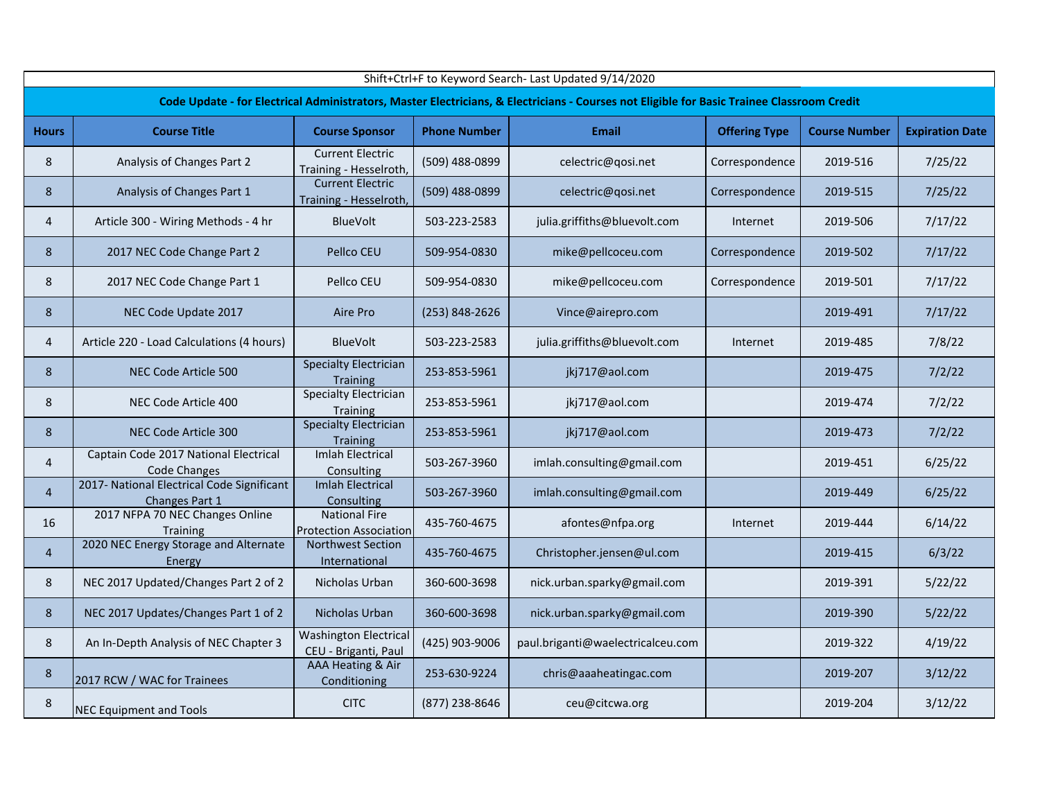|                |                                                              |                                                       |                     | Shift+Ctrl+F to Keyword Search- Last Updated 9/14/2020                                                                                     |                      |                      |                        |
|----------------|--------------------------------------------------------------|-------------------------------------------------------|---------------------|--------------------------------------------------------------------------------------------------------------------------------------------|----------------------|----------------------|------------------------|
|                |                                                              |                                                       |                     | Code Update - for Electrical Administrators, Master Electricians, & Electricians - Courses not Eligible for Basic Trainee Classroom Credit |                      |                      |                        |
| <b>Hours</b>   | <b>Course Title</b>                                          | <b>Course Sponsor</b>                                 | <b>Phone Number</b> | Email                                                                                                                                      | <b>Offering Type</b> | <b>Course Number</b> | <b>Expiration Date</b> |
| 8              | Analysis of Changes Part 2                                   | <b>Current Electric</b><br>Training - Hesselroth,     | (509) 488-0899      | celectric@qosi.net                                                                                                                         | Correspondence       | 2019-516             | 7/25/22                |
| 8              | Analysis of Changes Part 1                                   | <b>Current Electric</b><br>Training - Hesselroth,     | (509) 488-0899      | celectric@qosi.net                                                                                                                         | Correspondence       | 2019-515             | 7/25/22                |
| 4              | Article 300 - Wiring Methods - 4 hr                          | <b>BlueVolt</b>                                       | 503-223-2583        | julia.griffiths@bluevolt.com                                                                                                               | Internet             | 2019-506             | 7/17/22                |
| 8              | 2017 NEC Code Change Part 2                                  | Pellco CEU                                            | 509-954-0830        | mike@pellcoceu.com                                                                                                                         | Correspondence       | 2019-502             | 7/17/22                |
| 8              | 2017 NEC Code Change Part 1                                  | Pellco CEU                                            | 509-954-0830        | mike@pellcoceu.com                                                                                                                         | Correspondence       | 2019-501             | 7/17/22                |
| 8              | NEC Code Update 2017                                         | Aire Pro                                              | (253) 848-2626      | Vince@airepro.com                                                                                                                          |                      | 2019-491             | 7/17/22                |
| 4              | Article 220 - Load Calculations (4 hours)                    | BlueVolt                                              | 503-223-2583        | julia.griffiths@bluevolt.com                                                                                                               | Internet             | 2019-485             | 7/8/22                 |
| 8              | NEC Code Article 500                                         | <b>Specialty Electrician</b><br><b>Training</b>       | 253-853-5961        | jkj717@aol.com                                                                                                                             |                      | 2019-475             | 7/2/22                 |
| 8              | NEC Code Article 400                                         | <b>Specialty Electrician</b><br><b>Training</b>       | 253-853-5961        | iki717@aol.com                                                                                                                             |                      | 2019-474             | 7/2/22                 |
| 8              | NEC Code Article 300                                         | <b>Specialty Electrician</b><br><b>Training</b>       | 253-853-5961        | jkj717@aol.com                                                                                                                             |                      | 2019-473             | 7/2/22                 |
| 4              | Captain Code 2017 National Electrical<br><b>Code Changes</b> | <b>Imlah Electrical</b><br>Consulting                 | 503-267-3960        | imlah.consulting@gmail.com                                                                                                                 |                      | 2019-451             | 6/25/22                |
| $\overline{4}$ | 2017- National Electrical Code Significant<br>Changes Part 1 | <b>Imlah Electrical</b><br>Consulting                 | 503-267-3960        | imlah.consulting@gmail.com                                                                                                                 |                      | 2019-449             | 6/25/22                |
| 16             | 2017 NFPA 70 NEC Changes Online<br><b>Training</b>           | <b>National Fire</b><br><b>Protection Association</b> | 435-760-4675        | afontes@nfpa.org                                                                                                                           | Internet             | 2019-444             | 6/14/22                |
| $\overline{4}$ | 2020 NEC Energy Storage and Alternate<br>Energy              | <b>Northwest Section</b><br>International             | 435-760-4675        | Christopher.jensen@ul.com                                                                                                                  |                      | 2019-415             | 6/3/22                 |
| 8              | NEC 2017 Updated/Changes Part 2 of 2                         | Nicholas Urban                                        | 360-600-3698        | nick.urban.sparky@gmail.com                                                                                                                |                      | 2019-391             | 5/22/22                |
| 8              | NEC 2017 Updates/Changes Part 1 of 2                         | Nicholas Urban                                        | 360-600-3698        | nick.urban.sparky@gmail.com                                                                                                                |                      | 2019-390             | 5/22/22                |
| 8              | An In-Depth Analysis of NEC Chapter 3                        | <b>Washington Electrical</b><br>CEU - Briganti, Paul  | (425) 903-9006      | paul.briganti@waelectricalceu.com                                                                                                          |                      | 2019-322             | 4/19/22                |
| 8              | 2017 RCW / WAC for Trainees                                  | AAA Heating & Air<br>Conditioning                     | 253-630-9224        | chris@aaaheatingac.com                                                                                                                     |                      | 2019-207             | 3/12/22                |
| 8              | <b>NEC Equipment and Tools</b>                               | <b>CITC</b>                                           | (877) 238-8646      | ceu@citcwa.org                                                                                                                             |                      | 2019-204             | 3/12/22                |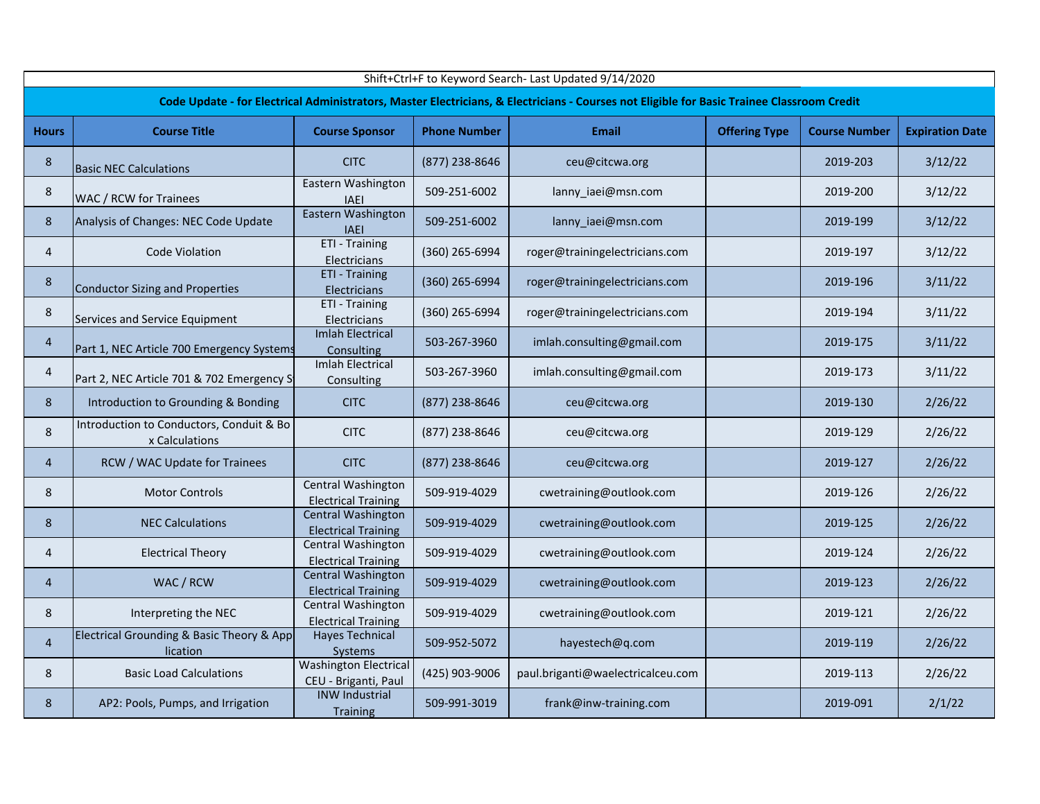|                | Shift+Ctrl+F to Keyword Search- Last Updated 9/14/2020     |                                                         |                     |                                                                                                                                            |                      |                      |                        |  |  |  |  |  |
|----------------|------------------------------------------------------------|---------------------------------------------------------|---------------------|--------------------------------------------------------------------------------------------------------------------------------------------|----------------------|----------------------|------------------------|--|--|--|--|--|
|                |                                                            |                                                         |                     | Code Update - for Electrical Administrators, Master Electricians, & Electricians - Courses not Eligible for Basic Trainee Classroom Credit |                      |                      |                        |  |  |  |  |  |
| <b>Hours</b>   | <b>Course Title</b>                                        | <b>Course Sponsor</b>                                   | <b>Phone Number</b> | <b>Email</b>                                                                                                                               | <b>Offering Type</b> | <b>Course Number</b> | <b>Expiration Date</b> |  |  |  |  |  |
| 8              | <b>Basic NEC Calculations</b>                              | <b>CITC</b>                                             | (877) 238-8646      | ceu@citcwa.org                                                                                                                             |                      | 2019-203             | 3/12/22                |  |  |  |  |  |
| $\,8\,$        | WAC / RCW for Trainees                                     | Eastern Washington<br><b>IAEI</b>                       | 509-251-6002        | lanny_iaei@msn.com                                                                                                                         |                      | 2019-200             | 3/12/22                |  |  |  |  |  |
| 8              | Analysis of Changes: NEC Code Update                       | Eastern Washington<br><b>IAEI</b>                       | 509-251-6002        | lanny_iaei@msn.com                                                                                                                         |                      | 2019-199             | 3/12/22                |  |  |  |  |  |
| 4              | Code Violation                                             | ETI - Training<br>Electricians                          | (360) 265-6994      | roger@trainingelectricians.com                                                                                                             |                      | 2019-197             | 3/12/22                |  |  |  |  |  |
| 8              | Conductor Sizing and Properties                            | ETI - Training<br>Electricians                          | (360) 265-6994      | roger@trainingelectricians.com                                                                                                             |                      | 2019-196             | 3/11/22                |  |  |  |  |  |
| 8              | Services and Service Equipment                             | ETI - Training<br>Electricians                          | (360) 265-6994      | roger@trainingelectricians.com                                                                                                             |                      | 2019-194             | 3/11/22                |  |  |  |  |  |
| $\overline{4}$ | Part 1, NEC Article 700 Emergency Systems                  | <b>Imlah Electrical</b><br>Consulting                   | 503-267-3960        | imlah.consulting@gmail.com                                                                                                                 |                      | 2019-175             | 3/11/22                |  |  |  |  |  |
| $\overline{4}$ | Part 2, NEC Article 701 & 702 Emergency St                 | <b>Imlah Electrical</b><br>Consulting                   | 503-267-3960        | imlah.consulting@gmail.com                                                                                                                 |                      | 2019-173             | 3/11/22                |  |  |  |  |  |
| 8              | Introduction to Grounding & Bonding                        | <b>CITC</b>                                             | (877) 238-8646      | ceu@citcwa.org                                                                                                                             |                      | 2019-130             | 2/26/22                |  |  |  |  |  |
| $\,8\,$        | Introduction to Conductors, Conduit & Bo<br>x Calculations | <b>CITC</b>                                             | (877) 238-8646      | ceu@citcwa.org                                                                                                                             |                      | 2019-129             | 2/26/22                |  |  |  |  |  |
| $\overline{4}$ | RCW / WAC Update for Trainees                              | <b>CITC</b>                                             | (877) 238-8646      | ceu@citcwa.org                                                                                                                             |                      | 2019-127             | 2/26/22                |  |  |  |  |  |
| 8              | <b>Motor Controls</b>                                      | Central Washington<br><b>Electrical Training</b>        | 509-919-4029        | cwetraining@outlook.com                                                                                                                    |                      | 2019-126             | 2/26/22                |  |  |  |  |  |
| 8              | <b>NEC Calculations</b>                                    | <b>Central Washington</b><br><b>Electrical Training</b> | 509-919-4029        | cwetraining@outlook.com                                                                                                                    |                      | 2019-125             | 2/26/22                |  |  |  |  |  |
| $\overline{4}$ | <b>Electrical Theory</b>                                   | Central Washington<br><b>Electrical Training</b>        | 509-919-4029        | cwetraining@outlook.com                                                                                                                    |                      | 2019-124             | 2/26/22                |  |  |  |  |  |
| $\overline{4}$ | WAC / RCW                                                  | Central Washington<br><b>Electrical Training</b>        | 509-919-4029        | cwetraining@outlook.com                                                                                                                    |                      | 2019-123             | 2/26/22                |  |  |  |  |  |
| 8              | Interpreting the NEC                                       | <b>Central Washington</b><br><b>Electrical Training</b> | 509-919-4029        | cwetraining@outlook.com                                                                                                                    |                      | 2019-121             | 2/26/22                |  |  |  |  |  |
| $\overline{4}$ | Electrical Grounding & Basic Theory & App<br>lication      | <b>Hayes Technical</b><br>Systems                       | 509-952-5072        | hayestech@q.com                                                                                                                            |                      | 2019-119             | 2/26/22                |  |  |  |  |  |
| 8              | <b>Basic Load Calculations</b>                             | <b>Washington Electrical</b><br>CEU - Briganti, Paul    | (425) 903-9006      | paul.briganti@waelectricalceu.com                                                                                                          |                      | 2019-113             | 2/26/22                |  |  |  |  |  |
| 8              | AP2: Pools, Pumps, and Irrigation                          | <b>INW Industrial</b><br><b>Training</b>                | 509-991-3019        | frank@inw-training.com                                                                                                                     |                      | 2019-091             | 2/1/22                 |  |  |  |  |  |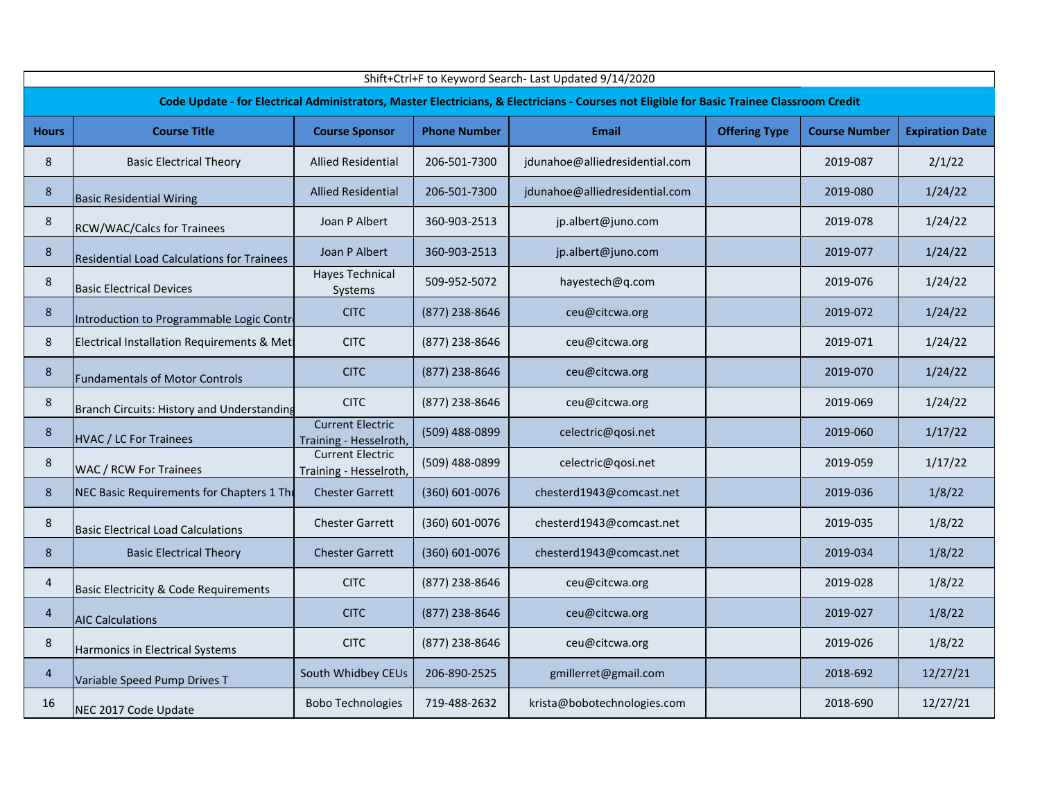|                | Shift+Ctrl+F to Keyword Search- Last Updated 9/14/2020 |                                                   |                     |                                                                                                                                            |                      |                      |                        |  |  |  |  |  |
|----------------|--------------------------------------------------------|---------------------------------------------------|---------------------|--------------------------------------------------------------------------------------------------------------------------------------------|----------------------|----------------------|------------------------|--|--|--|--|--|
|                |                                                        |                                                   |                     | Code Update - for Electrical Administrators, Master Electricians, & Electricians - Courses not Eligible for Basic Trainee Classroom Credit |                      |                      |                        |  |  |  |  |  |
| <b>Hours</b>   | <b>Course Title</b>                                    | <b>Course Sponsor</b>                             | <b>Phone Number</b> | <b>Email</b>                                                                                                                               | <b>Offering Type</b> | <b>Course Number</b> | <b>Expiration Date</b> |  |  |  |  |  |
| 8              | <b>Basic Electrical Theory</b>                         | <b>Allied Residential</b>                         | 206-501-7300        | jdunahoe@alliedresidential.com                                                                                                             |                      | 2019-087             | 2/1/22                 |  |  |  |  |  |
| 8              | <b>Basic Residential Wiring</b>                        | <b>Allied Residential</b>                         | 206-501-7300        | jdunahoe@alliedresidential.com                                                                                                             |                      | 2019-080             | 1/24/22                |  |  |  |  |  |
| 8              | <b>RCW/WAC/Calcs for Trainees</b>                      | Joan P Albert                                     | 360-903-2513        | jp.albert@juno.com                                                                                                                         |                      | 2019-078             | 1/24/22                |  |  |  |  |  |
| $\bf 8$        | <b>Residential Load Calculations for Trainees</b>      | Joan P Albert                                     | 360-903-2513        | jp.albert@juno.com                                                                                                                         |                      | 2019-077             | 1/24/22                |  |  |  |  |  |
| 8              | <b>Basic Electrical Devices</b>                        | <b>Hayes Technical</b><br>Systems                 | 509-952-5072        | hayestech@q.com                                                                                                                            |                      | 2019-076             | 1/24/22                |  |  |  |  |  |
| 8              | Introduction to Programmable Logic Contre              | <b>CITC</b>                                       | (877) 238-8646      | ceu@citcwa.org                                                                                                                             |                      | 2019-072             | 1/24/22                |  |  |  |  |  |
| 8              | Electrical Installation Requirements & Met             | <b>CITC</b>                                       | (877) 238-8646      | ceu@citcwa.org                                                                                                                             |                      | 2019-071             | 1/24/22                |  |  |  |  |  |
| 8              | <b>Fundamentals of Motor Controls</b>                  | <b>CITC</b>                                       | (877) 238-8646      | ceu@citcwa.org                                                                                                                             |                      | 2019-070             | 1/24/22                |  |  |  |  |  |
| 8              | Branch Circuits: History and Understanding             | <b>CITC</b>                                       | (877) 238-8646      | ceu@citcwa.org                                                                                                                             |                      | 2019-069             | 1/24/22                |  |  |  |  |  |
| 8              | <b>HVAC / LC For Trainees</b>                          | <b>Current Electric</b><br>Training - Hesselroth, | (509) 488-0899      | celectric@qosi.net                                                                                                                         |                      | 2019-060             | 1/17/22                |  |  |  |  |  |
| 8              | <b>WAC / RCW For Trainees</b>                          | <b>Current Electric</b><br>Training - Hesselroth, | (509) 488-0899      | celectric@qosi.net                                                                                                                         |                      | 2019-059             | 1/17/22                |  |  |  |  |  |
| 8              | NEC Basic Requirements for Chapters 1 The              | <b>Chester Garrett</b>                            | (360) 601-0076      | chesterd1943@comcast.net                                                                                                                   |                      | 2019-036             | 1/8/22                 |  |  |  |  |  |
| 8              | <b>Basic Electrical Load Calculations</b>              | <b>Chester Garrett</b>                            | (360) 601-0076      | chesterd1943@comcast.net                                                                                                                   |                      | 2019-035             | 1/8/22                 |  |  |  |  |  |
| 8              | <b>Basic Electrical Theory</b>                         | <b>Chester Garrett</b>                            | (360) 601-0076      | chesterd1943@comcast.net                                                                                                                   |                      | 2019-034             | 1/8/22                 |  |  |  |  |  |
| 4              | <b>Basic Electricity &amp; Code Requirements</b>       | <b>CITC</b>                                       | (877) 238-8646      | ceu@citcwa.org                                                                                                                             |                      | 2019-028             | 1/8/22                 |  |  |  |  |  |
| $\overline{4}$ | <b>AIC Calculations</b>                                | <b>CITC</b>                                       | (877) 238-8646      | ceu@citcwa.org                                                                                                                             |                      | 2019-027             | 1/8/22                 |  |  |  |  |  |
| 8              | Harmonics in Electrical Systems                        | <b>CITC</b>                                       | (877) 238-8646      | ceu@citcwa.org                                                                                                                             |                      | 2019-026             | 1/8/22                 |  |  |  |  |  |
| $\overline{4}$ | Variable Speed Pump Drives T                           | South Whidbey CEUs                                | 206-890-2525        | gmillerret@gmail.com                                                                                                                       |                      | 2018-692             | 12/27/21               |  |  |  |  |  |
| 16             | NEC 2017 Code Update                                   | <b>Bobo Technologies</b>                          | 719-488-2632        | krista@bobotechnologies.com                                                                                                                |                      | 2018-690             | 12/27/21               |  |  |  |  |  |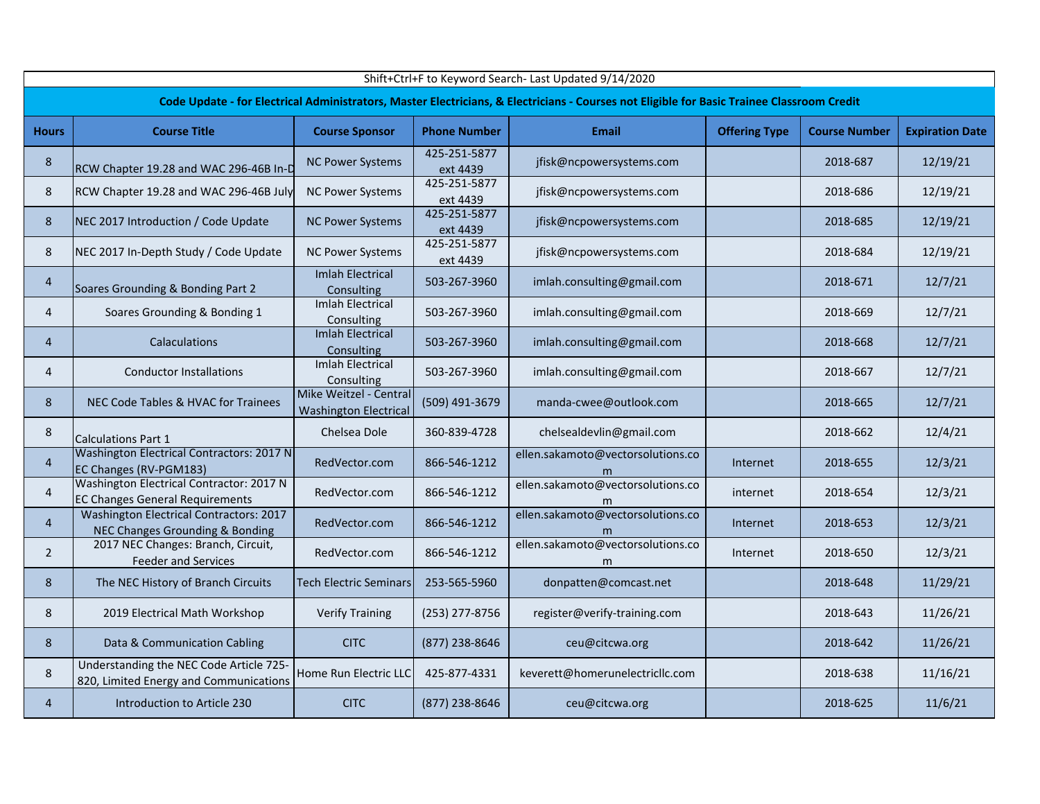|                | Shift+Ctrl+F to Keyword Search- Last Updated 9/14/2020                                                                                     |                                                        |                          |                                        |                      |                      |                        |  |  |  |  |  |
|----------------|--------------------------------------------------------------------------------------------------------------------------------------------|--------------------------------------------------------|--------------------------|----------------------------------------|----------------------|----------------------|------------------------|--|--|--|--|--|
|                | Code Update - for Electrical Administrators, Master Electricians, & Electricians - Courses not Eligible for Basic Trainee Classroom Credit |                                                        |                          |                                        |                      |                      |                        |  |  |  |  |  |
| <b>Hours</b>   | <b>Course Title</b>                                                                                                                        | <b>Course Sponsor</b>                                  | <b>Phone Number</b>      | <b>Email</b>                           | <b>Offering Type</b> | <b>Course Number</b> | <b>Expiration Date</b> |  |  |  |  |  |
| 8              | RCW Chapter 19.28 and WAC 296-46B In-D                                                                                                     | <b>NC Power Systems</b>                                | 425-251-5877<br>ext 4439 | jfisk@ncpowersystems.com               |                      | 2018-687             | 12/19/21               |  |  |  |  |  |
| 8              | RCW Chapter 19.28 and WAC 296-46B July                                                                                                     | <b>NC Power Systems</b>                                | 425-251-5877<br>ext 4439 | jfisk@ncpowersystems.com               |                      | 2018-686             | 12/19/21               |  |  |  |  |  |
| 8              | NEC 2017 Introduction / Code Update                                                                                                        | <b>NC Power Systems</b>                                | 425-251-5877<br>ext 4439 | jfisk@ncpowersystems.com               |                      | 2018-685             | 12/19/21               |  |  |  |  |  |
| 8              | NEC 2017 In-Depth Study / Code Update                                                                                                      | <b>NC Power Systems</b>                                | 425-251-5877<br>ext 4439 | jfisk@ncpowersystems.com               |                      | 2018-684             | 12/19/21               |  |  |  |  |  |
| $\overline{4}$ | Soares Grounding & Bonding Part 2                                                                                                          | <b>Imlah Electrical</b><br>Consulting                  | 503-267-3960             | imlah.consulting@gmail.com             |                      | 2018-671             | 12/7/21                |  |  |  |  |  |
| $\overline{4}$ | Soares Grounding & Bonding 1                                                                                                               | <b>Imlah Electrical</b><br>Consulting                  | 503-267-3960             | imlah.consulting@gmail.com             |                      | 2018-669             | 12/7/21                |  |  |  |  |  |
| $\overline{4}$ | <b>Calaculations</b>                                                                                                                       | <b>Imlah Electrical</b><br>Consulting                  | 503-267-3960             | imlah.consulting@gmail.com             |                      | 2018-668             | 12/7/21                |  |  |  |  |  |
| $\overline{4}$ | <b>Conductor Installations</b>                                                                                                             | <b>Imlah Electrical</b><br>Consulting                  | 503-267-3960             | imlah.consulting@gmail.com             |                      | 2018-667             | 12/7/21                |  |  |  |  |  |
| 8              | NEC Code Tables & HVAC for Trainees                                                                                                        | Mike Weitzel - Central<br><b>Washington Electrical</b> | (509) 491-3679           | manda-cwee@outlook.com                 |                      | 2018-665             | 12/7/21                |  |  |  |  |  |
| 8              | <b>Calculations Part 1</b>                                                                                                                 | Chelsea Dole                                           | 360-839-4728             | chelsealdevlin@gmail.com               |                      | 2018-662             | 12/4/21                |  |  |  |  |  |
| $\overline{4}$ | Washington Electrical Contractors: 2017 N<br>EC Changes (RV-PGM183)                                                                        | RedVector.com                                          | 866-546-1212             | ellen.sakamoto@vectorsolutions.co<br>m | Internet             | 2018-655             | 12/3/21                |  |  |  |  |  |
| $\overline{4}$ | Washington Electrical Contractor: 2017 N<br><b>EC Changes General Requirements</b>                                                         | RedVector.com                                          | 866-546-1212             | ellen.sakamoto@vectorsolutions.co<br>m | internet             | 2018-654             | 12/3/21                |  |  |  |  |  |
| $\overline{4}$ | <b>Washington Electrical Contractors: 2017</b><br>NEC Changes Grounding & Bonding                                                          | RedVector.com                                          | 866-546-1212             | ellen.sakamoto@vectorsolutions.co<br>m | Internet             | 2018-653             | 12/3/21                |  |  |  |  |  |
| $\overline{2}$ | 2017 NEC Changes: Branch, Circuit,<br><b>Feeder and Services</b>                                                                           | RedVector.com                                          | 866-546-1212             | ellen.sakamoto@vectorsolutions.co<br>m | Internet             | 2018-650             | 12/3/21                |  |  |  |  |  |
| 8              | The NEC History of Branch Circuits                                                                                                         | <b>Tech Electric Seminars</b>                          | 253-565-5960             | donpatten@comcast.net                  |                      | 2018-648             | 11/29/21               |  |  |  |  |  |
| 8              | 2019 Electrical Math Workshop                                                                                                              | <b>Verify Training</b>                                 | (253) 277-8756           | register@verify-training.com           |                      | 2018-643             | 11/26/21               |  |  |  |  |  |
| 8              | Data & Communication Cabling                                                                                                               | <b>CITC</b>                                            | (877) 238-8646           | ceu@citcwa.org                         |                      | 2018-642             | 11/26/21               |  |  |  |  |  |
| 8              | Understanding the NEC Code Article 725-<br>820, Limited Energy and Communications                                                          | Home Run Electric LLC                                  | 425-877-4331             | keverett@homerunelectricllc.com        |                      | 2018-638             | 11/16/21               |  |  |  |  |  |
| $\overline{4}$ | Introduction to Article 230                                                                                                                | <b>CITC</b>                                            | (877) 238-8646           | ceu@citcwa.org                         |                      | 2018-625             | 11/6/21                |  |  |  |  |  |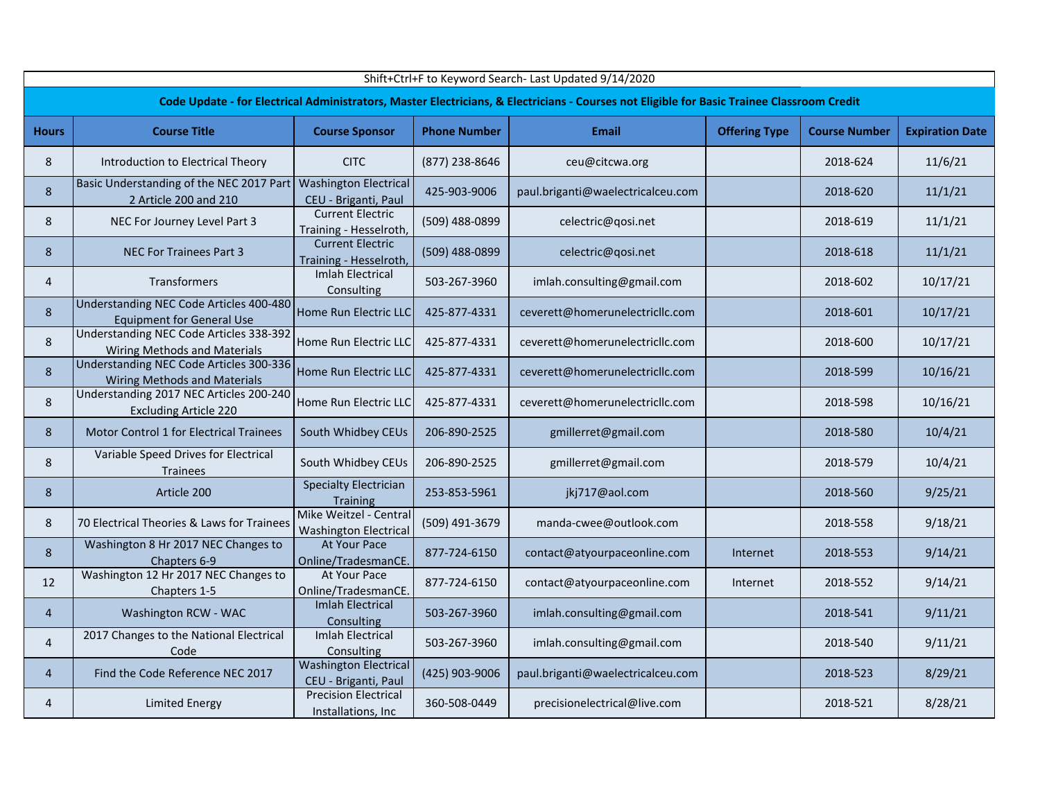| Shift+Ctrl+F to Keyword Search- Last Updated 9/14/2020 |                                                                                |                                                        |                     |                                                                                                                                            |                      |                      |                        |  |  |
|--------------------------------------------------------|--------------------------------------------------------------------------------|--------------------------------------------------------|---------------------|--------------------------------------------------------------------------------------------------------------------------------------------|----------------------|----------------------|------------------------|--|--|
|                                                        |                                                                                |                                                        |                     | Code Update - for Electrical Administrators, Master Electricians, & Electricians - Courses not Eligible for Basic Trainee Classroom Credit |                      |                      |                        |  |  |
| <b>Hours</b>                                           | <b>Course Title</b>                                                            | <b>Course Sponsor</b>                                  | <b>Phone Number</b> | <b>Email</b>                                                                                                                               | <b>Offering Type</b> | <b>Course Number</b> | <b>Expiration Date</b> |  |  |
| 8                                                      | Introduction to Electrical Theory                                              | <b>CITC</b>                                            | (877) 238-8646      | ceu@citcwa.org                                                                                                                             |                      | 2018-624             | 11/6/21                |  |  |
| 8                                                      | Basic Understanding of the NEC 2017 Part<br>2 Article 200 and 210              | <b>Washington Electrical</b><br>CEU - Briganti, Paul   | 425-903-9006        | paul.briganti@waelectricalceu.com                                                                                                          |                      | 2018-620             | 11/1/21                |  |  |
| 8                                                      | NEC For Journey Level Part 3                                                   | <b>Current Electric</b><br>Training - Hesselroth,      | (509) 488-0899      | celectric@qosi.net                                                                                                                         |                      | 2018-619             | 11/1/21                |  |  |
| 8                                                      | NEC For Trainees Part 3                                                        | <b>Current Electric</b><br>Training - Hesselroth,      | (509) 488-0899      | celectric@qosi.net                                                                                                                         |                      | 2018-618             | 11/1/21                |  |  |
| 4                                                      | Transformers                                                                   | <b>Imlah Electrical</b><br>Consulting                  | 503-267-3960        | imlah.consulting@gmail.com                                                                                                                 |                      | 2018-602             | 10/17/21               |  |  |
| 8                                                      | Understanding NEC Code Articles 400-480<br><b>Equipment for General Use</b>    | Home Run Electric LLC                                  | 425-877-4331        | ceverett@homerunelectricllc.com                                                                                                            |                      | 2018-601             | 10/17/21               |  |  |
| 8                                                      | Understanding NEC Code Articles 338-392<br>Wiring Methods and Materials        | Home Run Electric LLC                                  | 425-877-4331        | ceverett@homerunelectricllc.com                                                                                                            |                      | 2018-600             | 10/17/21               |  |  |
| 8                                                      | Understanding NEC Code Articles 300-336<br><b>Wiring Methods and Materials</b> | Home Run Electric LLC                                  | 425-877-4331        | ceverett@homerunelectricllc.com                                                                                                            |                      | 2018-599             | 10/16/21               |  |  |
| 8                                                      | Understanding 2017 NEC Articles 200-240<br><b>Excluding Article 220</b>        | Home Run Electric LLC                                  | 425-877-4331        | ceverett@homerunelectricllc.com                                                                                                            |                      | 2018-598             | 10/16/21               |  |  |
| 8                                                      | <b>Motor Control 1 for Electrical Trainees</b>                                 | South Whidbey CEUs                                     | 206-890-2525        | gmillerret@gmail.com                                                                                                                       |                      | 2018-580             | 10/4/21                |  |  |
| 8                                                      | Variable Speed Drives for Electrical<br><b>Trainees</b>                        | South Whidbey CEUs                                     | 206-890-2525        | gmillerret@gmail.com                                                                                                                       |                      | 2018-579             | 10/4/21                |  |  |
| 8                                                      | Article 200                                                                    | <b>Specialty Electrician</b><br><b>Training</b>        | 253-853-5961        | jkj717@aol.com                                                                                                                             |                      | 2018-560             | 9/25/21                |  |  |
| 8                                                      | 70 Electrical Theories & Laws for Trainees                                     | Mike Weitzel - Central<br><b>Washington Electrical</b> | (509) 491-3679      | manda-cwee@outlook.com                                                                                                                     |                      | 2018-558             | 9/18/21                |  |  |
| 8                                                      | Washington 8 Hr 2017 NEC Changes to<br>Chapters 6-9                            | At Your Pace<br>Online/TradesmanCE.                    | 877-724-6150        | contact@atyourpaceonline.com                                                                                                               | Internet             | 2018-553             | 9/14/21                |  |  |
| 12                                                     | Washington 12 Hr 2017 NEC Changes to<br>Chapters 1-5                           | At Your Pace<br>Online/TradesmanCE.                    | 877-724-6150        | contact@atyourpaceonline.com                                                                                                               | Internet             | 2018-552             | 9/14/21                |  |  |
| $\overline{4}$                                         | Washington RCW - WAC                                                           | <b>Imlah Electrical</b><br>Consulting                  | 503-267-3960        | imlah.consulting@gmail.com                                                                                                                 |                      | 2018-541             | 9/11/21                |  |  |
| 4                                                      | 2017 Changes to the National Electrical<br>Code                                | <b>Imlah Electrical</b><br>Consulting                  | 503-267-3960        | imlah.consulting@gmail.com                                                                                                                 |                      | 2018-540             | 9/11/21                |  |  |
| $\overline{4}$                                         | Find the Code Reference NEC 2017                                               | <b>Washington Electrical</b><br>CEU - Briganti, Paul   | (425) 903-9006      | paul.briganti@waelectricalceu.com                                                                                                          |                      | 2018-523             | 8/29/21                |  |  |
| 4                                                      | <b>Limited Energy</b>                                                          | <b>Precision Electrical</b><br>Installations, Inc      | 360-508-0449        | precisionelectrical@live.com                                                                                                               |                      | 2018-521             | 8/28/21                |  |  |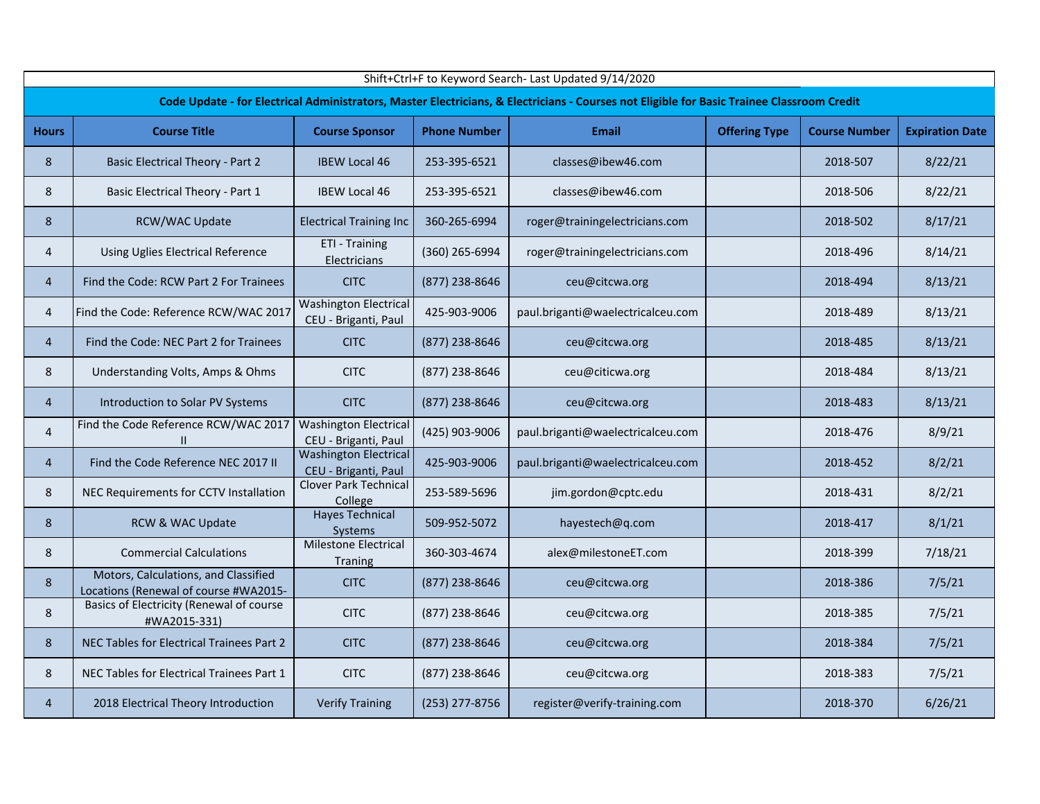| Shift+Ctrl+F to Keyword Search- Last Updated 9/14/2020 |                                                                                                                                            |                                                      |                     |                                   |                      |                      |                        |  |  |  |  |  |
|--------------------------------------------------------|--------------------------------------------------------------------------------------------------------------------------------------------|------------------------------------------------------|---------------------|-----------------------------------|----------------------|----------------------|------------------------|--|--|--|--|--|
|                                                        | Code Update - for Electrical Administrators, Master Electricians, & Electricians - Courses not Eligible for Basic Trainee Classroom Credit |                                                      |                     |                                   |                      |                      |                        |  |  |  |  |  |
| <b>Hours</b>                                           | <b>Course Title</b>                                                                                                                        | <b>Course Sponsor</b>                                | <b>Phone Number</b> | <b>Email</b>                      | <b>Offering Type</b> | <b>Course Number</b> | <b>Expiration Date</b> |  |  |  |  |  |
| 8                                                      | <b>Basic Electrical Theory - Part 2</b>                                                                                                    | <b>IBEW Local 46</b>                                 | 253-395-6521        | classes@ibew46.com                |                      | 2018-507             | 8/22/21                |  |  |  |  |  |
| 8                                                      | <b>Basic Electrical Theory - Part 1</b>                                                                                                    | <b>IBEW Local 46</b>                                 | 253-395-6521        | classes@ibew46.com                |                      | 2018-506             | 8/22/21                |  |  |  |  |  |
| 8                                                      | RCW/WAC Update                                                                                                                             | <b>Electrical Training Inc</b>                       | 360-265-6994        | roger@trainingelectricians.com    |                      | 2018-502             | 8/17/21                |  |  |  |  |  |
| 4                                                      | Using Uglies Electrical Reference                                                                                                          | ETI - Training<br>Electricians                       | (360) 265-6994      | roger@trainingelectricians.com    |                      | 2018-496             | 8/14/21                |  |  |  |  |  |
| $\overline{4}$                                         | Find the Code: RCW Part 2 For Trainees                                                                                                     | <b>CITC</b>                                          | (877) 238-8646      | ceu@citcwa.org                    |                      | 2018-494             | 8/13/21                |  |  |  |  |  |
| 4                                                      | Find the Code: Reference RCW/WAC 2017                                                                                                      | <b>Washington Electrical</b><br>CEU - Briganti, Paul | 425-903-9006        | paul.briganti@waelectricalceu.com |                      | 2018-489             | 8/13/21                |  |  |  |  |  |
| $\overline{4}$                                         | Find the Code: NEC Part 2 for Trainees                                                                                                     | <b>CITC</b>                                          | (877) 238-8646      | ceu@citcwa.org                    |                      | 2018-485             | 8/13/21                |  |  |  |  |  |
| 8                                                      | Understanding Volts, Amps & Ohms                                                                                                           | <b>CITC</b>                                          | (877) 238-8646      | ceu@citicwa.org                   |                      | 2018-484             | 8/13/21                |  |  |  |  |  |
| $\overline{4}$                                         | Introduction to Solar PV Systems                                                                                                           | <b>CITC</b>                                          | (877) 238-8646      | ceu@citcwa.org                    |                      | 2018-483             | 8/13/21                |  |  |  |  |  |
| $\overline{4}$                                         | Find the Code Reference RCW/WAC 2017                                                                                                       | <b>Washington Electrical</b><br>CEU - Briganti, Paul | (425) 903-9006      | paul.briganti@waelectricalceu.com |                      | 2018-476             | 8/9/21                 |  |  |  |  |  |
| $\overline{4}$                                         | Find the Code Reference NEC 2017 II                                                                                                        | <b>Washington Electrical</b><br>CEU - Briganti, Paul | 425-903-9006        | paul.briganti@waelectricalceu.com |                      | 2018-452             | 8/2/21                 |  |  |  |  |  |
| 8                                                      | NEC Requirements for CCTV Installation                                                                                                     | Clover Park Technical<br>College                     | 253-589-5696        | jim.gordon@cptc.edu               |                      | 2018-431             | 8/2/21                 |  |  |  |  |  |
| 8                                                      | RCW & WAC Update                                                                                                                           | <b>Hayes Technical</b><br><b>Systems</b>             | 509-952-5072        | hayestech@q.com                   |                      | 2018-417             | 8/1/21                 |  |  |  |  |  |
| 8                                                      | <b>Commercial Calculations</b>                                                                                                             | Milestone Electrical<br><b>Traning</b>               | 360-303-4674        | alex@milestoneET.com              |                      | 2018-399             | 7/18/21                |  |  |  |  |  |
| $\bf 8$                                                | Motors, Calculations, and Classified<br>Locations (Renewal of course #WA2015-                                                              | <b>CITC</b>                                          | (877) 238-8646      | ceu@citcwa.org                    |                      | 2018-386             | 7/5/21                 |  |  |  |  |  |
| 8                                                      | Basics of Electricity (Renewal of course<br>#WA2015-331)                                                                                   | <b>CITC</b>                                          | (877) 238-8646      | ceu@citcwa.org                    |                      | 2018-385             | 7/5/21                 |  |  |  |  |  |
| 8                                                      | NEC Tables for Electrical Trainees Part 2                                                                                                  | <b>CITC</b>                                          | (877) 238-8646      | ceu@citcwa.org                    |                      | 2018-384             | 7/5/21                 |  |  |  |  |  |
| 8                                                      | NEC Tables for Electrical Trainees Part 1                                                                                                  | <b>CITC</b>                                          | (877) 238-8646      | ceu@citcwa.org                    |                      | 2018-383             | 7/5/21                 |  |  |  |  |  |
| $\overline{4}$                                         | 2018 Electrical Theory Introduction                                                                                                        | <b>Verify Training</b>                               | (253) 277-8756      | register@verify-training.com      |                      | 2018-370             | 6/26/21                |  |  |  |  |  |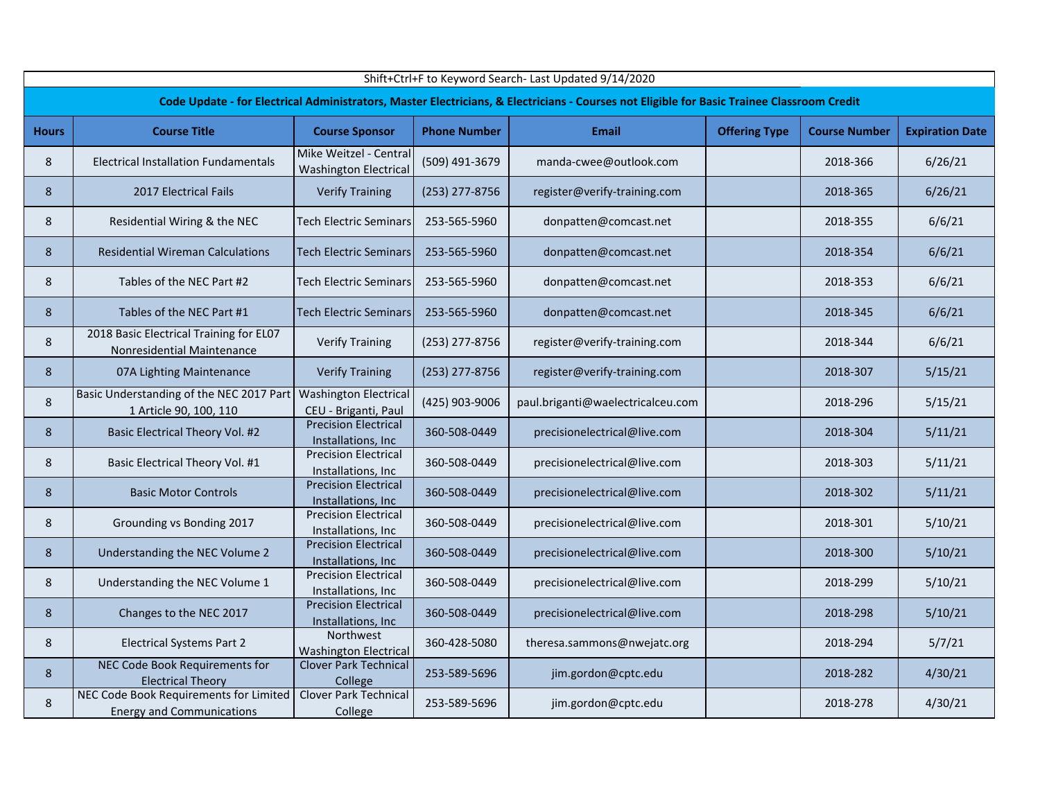|              | Shift+Ctrl+F to Keyword Search- Last Updated 9/14/2020                                                                                     |                                                        |                     |                                   |                      |                      |                        |  |  |  |  |  |
|--------------|--------------------------------------------------------------------------------------------------------------------------------------------|--------------------------------------------------------|---------------------|-----------------------------------|----------------------|----------------------|------------------------|--|--|--|--|--|
|              | Code Update - for Electrical Administrators, Master Electricians, & Electricians - Courses not Eligible for Basic Trainee Classroom Credit |                                                        |                     |                                   |                      |                      |                        |  |  |  |  |  |
| <b>Hours</b> | <b>Course Title</b>                                                                                                                        | <b>Course Sponsor</b>                                  | <b>Phone Number</b> | <b>Email</b>                      | <b>Offering Type</b> | <b>Course Number</b> | <b>Expiration Date</b> |  |  |  |  |  |
| 8            | <b>Electrical Installation Fundamentals</b>                                                                                                | Mike Weitzel - Central<br><b>Washington Electrical</b> | (509) 491-3679      | manda-cwee@outlook.com            |                      | 2018-366             | 6/26/21                |  |  |  |  |  |
| 8            | <b>2017 Electrical Fails</b>                                                                                                               | <b>Verify Training</b>                                 | (253) 277-8756      | register@verify-training.com      |                      | 2018-365             | 6/26/21                |  |  |  |  |  |
| 8            | Residential Wiring & the NEC                                                                                                               | <b>Tech Electric Seminars</b>                          | 253-565-5960        | donpatten@comcast.net             |                      | 2018-355             | 6/6/21                 |  |  |  |  |  |
| 8            | <b>Residential Wireman Calculations</b>                                                                                                    | <b>Tech Electric Seminars</b>                          | 253-565-5960        | donpatten@comcast.net             |                      | 2018-354             | 6/6/21                 |  |  |  |  |  |
| 8            | Tables of the NEC Part #2                                                                                                                  | <b>Tech Electric Seminars</b>                          | 253-565-5960        | donpatten@comcast.net             |                      | 2018-353             | 6/6/21                 |  |  |  |  |  |
| 8            | Tables of the NEC Part #1                                                                                                                  | <b>Tech Electric Seminars</b>                          | 253-565-5960        | donpatten@comcast.net             |                      | 2018-345             | 6/6/21                 |  |  |  |  |  |
| 8            | 2018 Basic Electrical Training for EL07<br>Nonresidential Maintenance                                                                      | <b>Verify Training</b>                                 | (253) 277-8756      | register@verify-training.com      |                      | 2018-344             | 6/6/21                 |  |  |  |  |  |
| 8            | 07A Lighting Maintenance                                                                                                                   | <b>Verify Training</b>                                 | (253) 277-8756      | register@verify-training.com      |                      | 2018-307             | 5/15/21                |  |  |  |  |  |
| 8            | Basic Understanding of the NEC 2017 Part<br>1 Article 90, 100, 110                                                                         | <b>Washington Electrical</b><br>CEU - Briganti, Paul   | (425) 903-9006      | paul.briganti@waelectricalceu.com |                      | 2018-296             | 5/15/21                |  |  |  |  |  |
| 8            | Basic Electrical Theory Vol. #2                                                                                                            | <b>Precision Electrical</b><br>Installations, Inc      | 360-508-0449        | precisionelectrical@live.com      |                      | 2018-304             | 5/11/21                |  |  |  |  |  |
| 8            | Basic Electrical Theory Vol. #1                                                                                                            | <b>Precision Electrical</b><br>Installations, Inc      | 360-508-0449        | precisionelectrical@live.com      |                      | 2018-303             | 5/11/21                |  |  |  |  |  |
| 8            | <b>Basic Motor Controls</b>                                                                                                                | <b>Precision Electrical</b><br>Installations, Inc      | 360-508-0449        | precisionelectrical@live.com      |                      | 2018-302             | 5/11/21                |  |  |  |  |  |
| 8            | Grounding vs Bonding 2017                                                                                                                  | <b>Precision Electrical</b><br>Installations, Inc      | 360-508-0449        | precisionelectrical@live.com      |                      | 2018-301             | 5/10/21                |  |  |  |  |  |
| 8            | Understanding the NEC Volume 2                                                                                                             | <b>Precision Electrical</b><br>Installations, Inc.     | 360-508-0449        | precisionelectrical@live.com      |                      | 2018-300             | 5/10/21                |  |  |  |  |  |
| 8            | Understanding the NEC Volume 1                                                                                                             | <b>Precision Electrical</b><br>Installations, Inc      | 360-508-0449        | precisionelectrical@live.com      |                      | 2018-299             | 5/10/21                |  |  |  |  |  |
| 8            | Changes to the NEC 2017                                                                                                                    | <b>Precision Electrical</b><br>Installations, Inc.     | 360-508-0449        | precisionelectrical@live.com      |                      | 2018-298             | 5/10/21                |  |  |  |  |  |
| 8            | <b>Electrical Systems Part 2</b>                                                                                                           | Northwest<br><b>Washington Electrical</b>              | 360-428-5080        | theresa.sammons@nwejatc.org       |                      | 2018-294             | 5/7/21                 |  |  |  |  |  |
| 8            | NEC Code Book Requirements for<br><b>Electrical Theory</b>                                                                                 | <b>Clover Park Technical</b><br>College                | 253-589-5696        | jim.gordon@cptc.edu               |                      | 2018-282             | 4/30/21                |  |  |  |  |  |
| 8            | NEC Code Book Requirements for Limited<br><b>Energy and Communications</b>                                                                 | <b>Clover Park Technical</b><br>College                | 253-589-5696        | jim.gordon@cptc.edu               |                      | 2018-278             | 4/30/21                |  |  |  |  |  |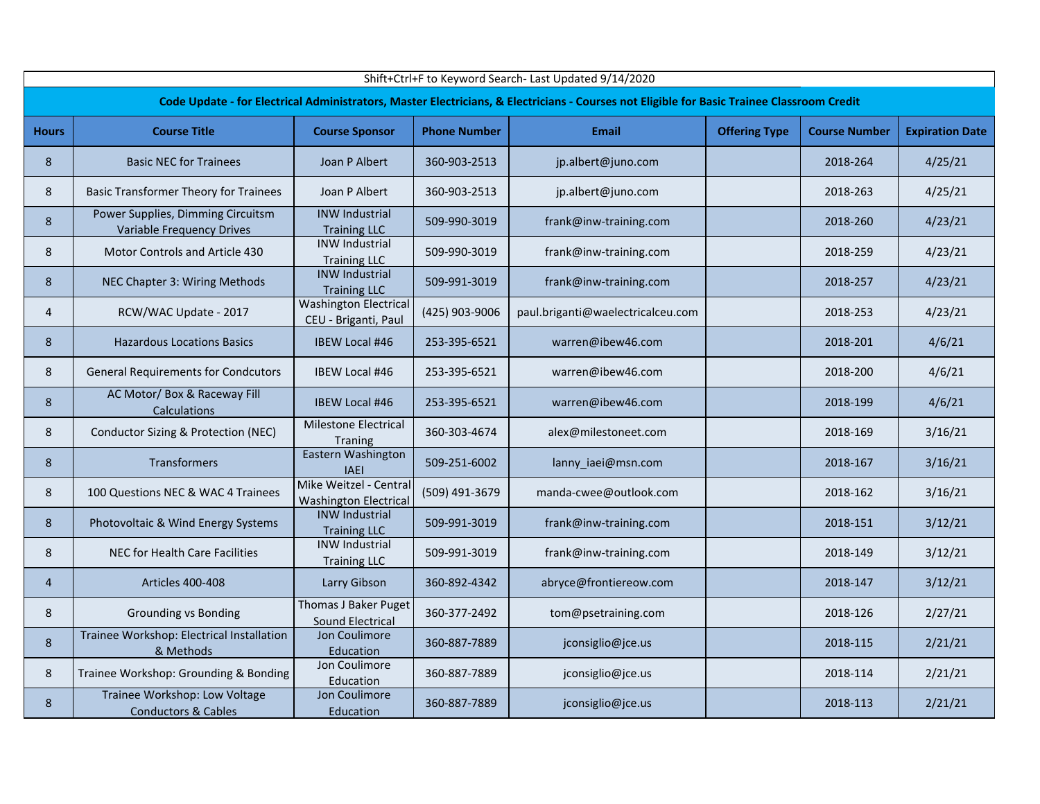| Shift+Ctrl+F to Keyword Search- Last Updated 9/14/2020 |                                                                                                                                            |                                                        |                     |                                   |                      |                      |                        |  |  |  |  |  |
|--------------------------------------------------------|--------------------------------------------------------------------------------------------------------------------------------------------|--------------------------------------------------------|---------------------|-----------------------------------|----------------------|----------------------|------------------------|--|--|--|--|--|
|                                                        | Code Update - for Electrical Administrators, Master Electricians, & Electricians - Courses not Eligible for Basic Trainee Classroom Credit |                                                        |                     |                                   |                      |                      |                        |  |  |  |  |  |
| <b>Hours</b>                                           | <b>Course Title</b>                                                                                                                        | <b>Course Sponsor</b>                                  | <b>Phone Number</b> | <b>Email</b>                      | <b>Offering Type</b> | <b>Course Number</b> | <b>Expiration Date</b> |  |  |  |  |  |
| 8                                                      | <b>Basic NEC for Trainees</b>                                                                                                              | Joan P Albert                                          | 360-903-2513        | jp.albert@juno.com                |                      | 2018-264             | 4/25/21                |  |  |  |  |  |
| 8                                                      | <b>Basic Transformer Theory for Trainees</b>                                                                                               | Joan P Albert                                          | 360-903-2513        | jp.albert@juno.com                |                      | 2018-263             | 4/25/21                |  |  |  |  |  |
| 8                                                      | Power Supplies, Dimming Circuitsm<br>Variable Frequency Drives                                                                             | <b>INW Industrial</b><br><b>Training LLC</b>           | 509-990-3019        | frank@inw-training.com            |                      | 2018-260             | 4/23/21                |  |  |  |  |  |
| 8                                                      | Motor Controls and Article 430                                                                                                             | <b>INW Industrial</b><br><b>Training LLC</b>           | 509-990-3019        | frank@inw-training.com            |                      | 2018-259             | 4/23/21                |  |  |  |  |  |
| 8                                                      | NEC Chapter 3: Wiring Methods                                                                                                              | <b>INW Industrial</b><br><b>Training LLC</b>           | 509-991-3019        | frank@inw-training.com            |                      | 2018-257             | 4/23/21                |  |  |  |  |  |
| $\overline{4}$                                         | RCW/WAC Update - 2017                                                                                                                      | <b>Washington Electrical</b><br>CEU - Briganti, Paul   | (425) 903-9006      | paul.briganti@waelectricalceu.com |                      | 2018-253             | 4/23/21                |  |  |  |  |  |
| 8                                                      | <b>Hazardous Locations Basics</b>                                                                                                          | <b>IBEW Local #46</b>                                  | 253-395-6521        | warren@ibew46.com                 |                      | 2018-201             | 4/6/21                 |  |  |  |  |  |
| 8                                                      | <b>General Requirements for Condcutors</b>                                                                                                 | IBEW Local #46                                         | 253-395-6521        | warren@ibew46.com                 |                      | 2018-200             | 4/6/21                 |  |  |  |  |  |
| 8                                                      | AC Motor/ Box & Raceway Fill<br>Calculations                                                                                               | <b>IBEW Local #46</b>                                  | 253-395-6521        | warren@ibew46.com                 |                      | 2018-199             | 4/6/21                 |  |  |  |  |  |
| 8                                                      | Conductor Sizing & Protection (NEC)                                                                                                        | <b>Milestone Electrical</b><br><b>Traning</b>          | 360-303-4674        | alex@milestoneet.com              |                      | 2018-169             | 3/16/21                |  |  |  |  |  |
| 8                                                      | Transformers                                                                                                                               | Eastern Washington<br><b>IAEI</b>                      | 509-251-6002        | lanny_iaei@msn.com                |                      | 2018-167             | 3/16/21                |  |  |  |  |  |
| 8                                                      | 100 Questions NEC & WAC 4 Trainees                                                                                                         | Mike Weitzel - Central<br><b>Washington Electrical</b> | (509) 491-3679      | manda-cwee@outlook.com            |                      | 2018-162             | 3/16/21                |  |  |  |  |  |
| 8                                                      | Photovoltaic & Wind Energy Systems                                                                                                         | <b>INW Industrial</b><br><b>Training LLC</b>           | 509-991-3019        | frank@inw-training.com            |                      | 2018-151             | 3/12/21                |  |  |  |  |  |
| 8                                                      | NEC for Health Care Facilities                                                                                                             | <b>INW Industrial</b><br><b>Training LLC</b>           | 509-991-3019        | frank@inw-training.com            |                      | 2018-149             | 3/12/21                |  |  |  |  |  |
| 4                                                      | Articles 400-408                                                                                                                           | Larry Gibson                                           | 360-892-4342        | abryce@frontiereow.com            |                      | 2018-147             | 3/12/21                |  |  |  |  |  |
| 8                                                      | <b>Grounding vs Bonding</b>                                                                                                                | Thomas J Baker Puget<br>Sound Electrical               | 360-377-2492        | tom@psetraining.com               |                      | 2018-126             | 2/27/21                |  |  |  |  |  |
| 8                                                      | Trainee Workshop: Electrical Installation<br>& Methods                                                                                     | Jon Coulimore<br>Education                             | 360-887-7889        | jconsiglio@jce.us                 |                      | 2018-115             | 2/21/21                |  |  |  |  |  |
| 8                                                      | Trainee Workshop: Grounding & Bonding                                                                                                      | Jon Coulimore<br>Education                             | 360-887-7889        | jconsiglio@jce.us                 |                      | 2018-114             | 2/21/21                |  |  |  |  |  |
| 8                                                      | Trainee Workshop: Low Voltage<br><b>Conductors &amp; Cables</b>                                                                            | Jon Coulimore<br>Education                             | 360-887-7889        | jconsiglio@jce.us                 |                      | 2018-113             | 2/21/21                |  |  |  |  |  |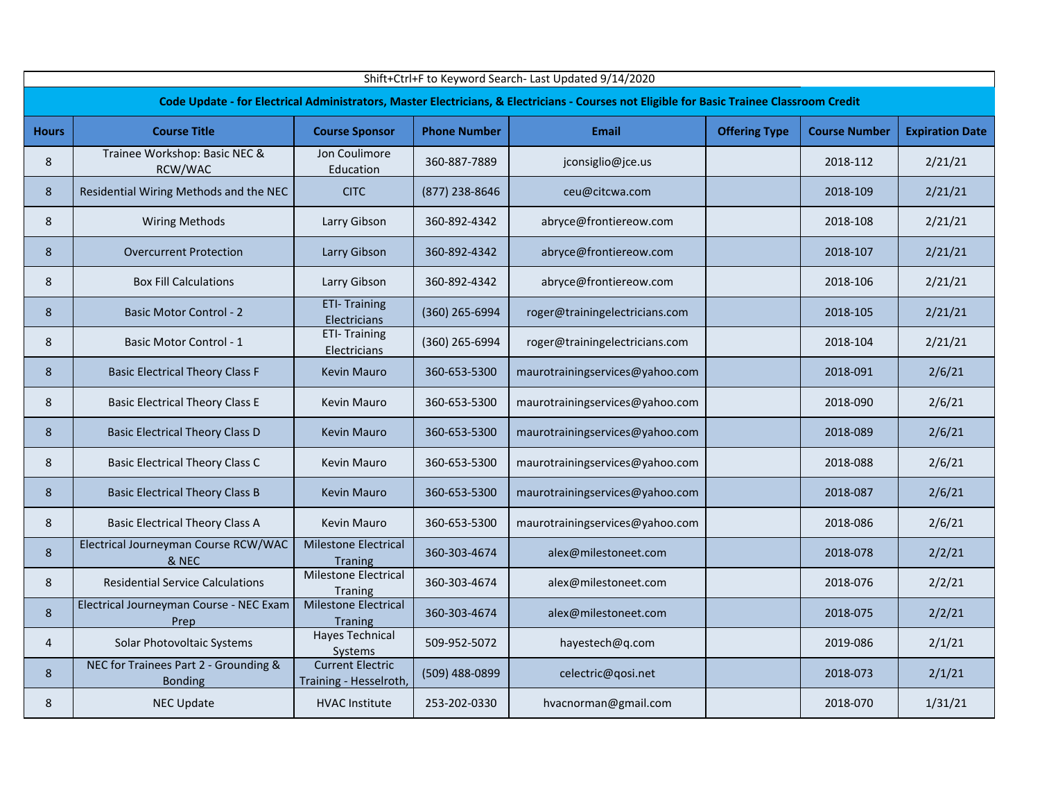|              | Shift+Ctrl+F to Keyword Search- Last Updated 9/14/2020  |                                                   |                     |                                                                                                                                            |                      |                      |                        |  |  |  |
|--------------|---------------------------------------------------------|---------------------------------------------------|---------------------|--------------------------------------------------------------------------------------------------------------------------------------------|----------------------|----------------------|------------------------|--|--|--|
|              |                                                         |                                                   |                     | Code Update - for Electrical Administrators, Master Electricians, & Electricians - Courses not Eligible for Basic Trainee Classroom Credit |                      |                      |                        |  |  |  |
| <b>Hours</b> | <b>Course Title</b>                                     | <b>Course Sponsor</b>                             | <b>Phone Number</b> | <b>Email</b>                                                                                                                               | <b>Offering Type</b> | <b>Course Number</b> | <b>Expiration Date</b> |  |  |  |
| 8            | Trainee Workshop: Basic NEC &<br>RCW/WAC                | Jon Coulimore<br>Education                        | 360-887-7889        | jconsiglio@jce.us                                                                                                                          |                      | 2018-112             | 2/21/21                |  |  |  |
| 8            | Residential Wiring Methods and the NEC                  | <b>CITC</b>                                       | (877) 238-8646      | ceu@citcwa.com                                                                                                                             |                      | 2018-109             | 2/21/21                |  |  |  |
| 8            | <b>Wiring Methods</b>                                   | Larry Gibson                                      | 360-892-4342        | abryce@frontiereow.com                                                                                                                     |                      | 2018-108             | 2/21/21                |  |  |  |
| 8            | <b>Overcurrent Protection</b>                           | Larry Gibson                                      | 360-892-4342        | abryce@frontiereow.com                                                                                                                     |                      | 2018-107             | 2/21/21                |  |  |  |
| 8            | <b>Box Fill Calculations</b>                            | Larry Gibson                                      | 360-892-4342        | abryce@frontiereow.com                                                                                                                     |                      | 2018-106             | 2/21/21                |  |  |  |
| 8            | <b>Basic Motor Control - 2</b>                          | <b>ETI- Training</b><br>Electricians              | (360) 265-6994      | roger@trainingelectricians.com                                                                                                             |                      | 2018-105             | 2/21/21                |  |  |  |
| 8            | Basic Motor Control - 1                                 | <b>ETI-Training</b><br>Electricians               | (360) 265-6994      | roger@trainingelectricians.com                                                                                                             |                      | 2018-104             | 2/21/21                |  |  |  |
| 8            | <b>Basic Electrical Theory Class F</b>                  | <b>Kevin Mauro</b>                                | 360-653-5300        | maurotrainingservices@yahoo.com                                                                                                            |                      | 2018-091             | 2/6/21                 |  |  |  |
| 8            | <b>Basic Electrical Theory Class E</b>                  | Kevin Mauro                                       | 360-653-5300        | maurotrainingservices@yahoo.com                                                                                                            |                      | 2018-090             | 2/6/21                 |  |  |  |
| 8            | <b>Basic Electrical Theory Class D</b>                  | <b>Kevin Mauro</b>                                | 360-653-5300        | maurotrainingservices@yahoo.com                                                                                                            |                      | 2018-089             | 2/6/21                 |  |  |  |
| 8            | <b>Basic Electrical Theory Class C</b>                  | Kevin Mauro                                       | 360-653-5300        | maurotrainingservices@yahoo.com                                                                                                            |                      | 2018-088             | 2/6/21                 |  |  |  |
| 8            | <b>Basic Electrical Theory Class B</b>                  | <b>Kevin Mauro</b>                                | 360-653-5300        | maurotrainingservices@yahoo.com                                                                                                            |                      | 2018-087             | 2/6/21                 |  |  |  |
| 8            | <b>Basic Electrical Theory Class A</b>                  | <b>Kevin Mauro</b>                                | 360-653-5300        | maurotrainingservices@yahoo.com                                                                                                            |                      | 2018-086             | 2/6/21                 |  |  |  |
| 8            | Electrical Journeyman Course RCW/WAC<br>& NEC           | Milestone Electrical<br><b>Traning</b>            | 360-303-4674        | alex@milestoneet.com                                                                                                                       |                      | 2018-078             | 2/2/21                 |  |  |  |
| 8            | <b>Residential Service Calculations</b>                 | Milestone Electrical<br><b>Traning</b>            | 360-303-4674        | alex@milestoneet.com                                                                                                                       |                      | 2018-076             | 2/2/21                 |  |  |  |
| 8            | Electrical Journeyman Course - NEC Exam<br>Prep         | Milestone Electrical<br><b>Traning</b>            | 360-303-4674        | alex@milestoneet.com                                                                                                                       |                      | 2018-075             | 2/2/21                 |  |  |  |
| 4            | Solar Photovoltaic Systems                              | <b>Hayes Technical</b><br>Systems                 | 509-952-5072        | hayestech@q.com                                                                                                                            |                      | 2019-086             | 2/1/21                 |  |  |  |
| 8            | NEC for Trainees Part 2 - Grounding &<br><b>Bonding</b> | <b>Current Electric</b><br>Training - Hesselroth, | (509) 488-0899      | celectric@qosi.net                                                                                                                         |                      | 2018-073             | 2/1/21                 |  |  |  |
| 8            | <b>NEC Update</b>                                       | <b>HVAC Institute</b>                             | 253-202-0330        | hvacnorman@gmail.com                                                                                                                       |                      | 2018-070             | 1/31/21                |  |  |  |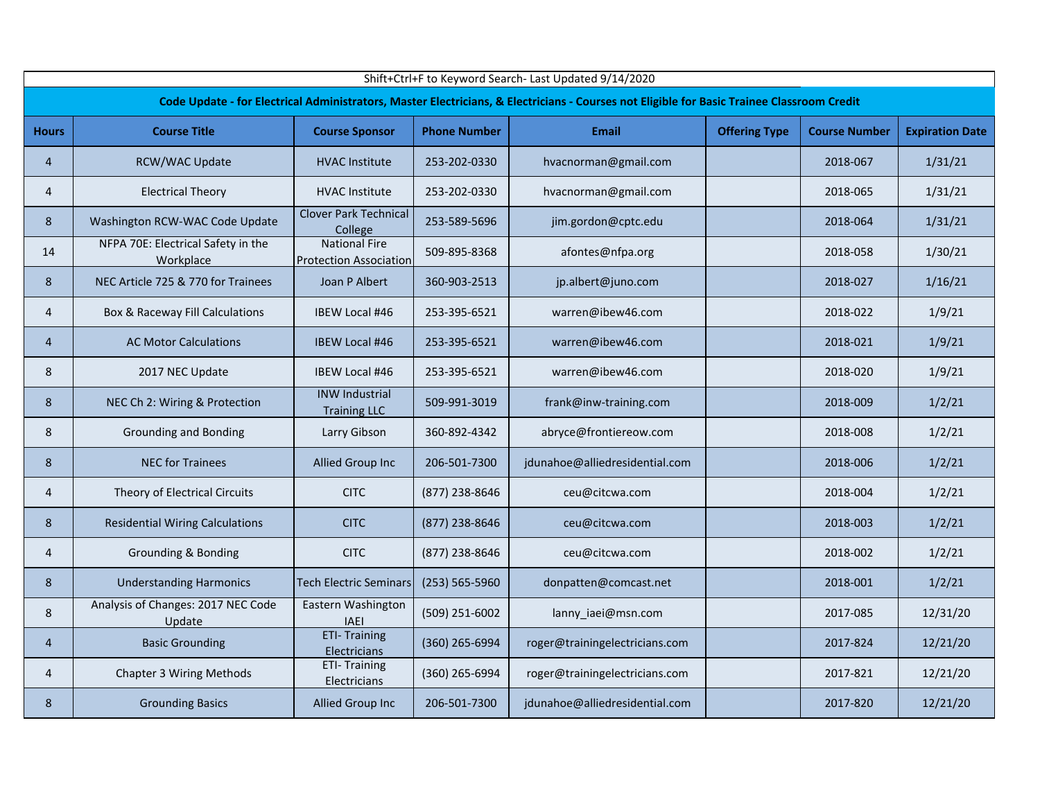|                | Shift+Ctrl+F to Keyword Search- Last Updated 9/14/2020 |                                                       |                     |                                                                                                                                            |                      |                      |                        |  |  |  |
|----------------|--------------------------------------------------------|-------------------------------------------------------|---------------------|--------------------------------------------------------------------------------------------------------------------------------------------|----------------------|----------------------|------------------------|--|--|--|
|                |                                                        |                                                       |                     | Code Update - for Electrical Administrators, Master Electricians, & Electricians - Courses not Eligible for Basic Trainee Classroom Credit |                      |                      |                        |  |  |  |
| <b>Hours</b>   | <b>Course Title</b>                                    | <b>Course Sponsor</b>                                 | <b>Phone Number</b> | <b>Email</b>                                                                                                                               | <b>Offering Type</b> | <b>Course Number</b> | <b>Expiration Date</b> |  |  |  |
| 4              | RCW/WAC Update                                         | <b>HVAC Institute</b>                                 | 253-202-0330        | hvacnorman@gmail.com                                                                                                                       |                      | 2018-067             | 1/31/21                |  |  |  |
| 4              | <b>Electrical Theory</b>                               | <b>HVAC Institute</b>                                 | 253-202-0330        | hvacnorman@gmail.com                                                                                                                       |                      | 2018-065             | 1/31/21                |  |  |  |
| 8              | Washington RCW-WAC Code Update                         | <b>Clover Park Technical</b><br>College               | 253-589-5696        | jim.gordon@cptc.edu                                                                                                                        |                      | 2018-064             | 1/31/21                |  |  |  |
| 14             | NFPA 70E: Electrical Safety in the<br>Workplace        | <b>National Fire</b><br><b>Protection Association</b> | 509-895-8368        | afontes@nfpa.org                                                                                                                           |                      | 2018-058             | 1/30/21                |  |  |  |
| 8              | NEC Article 725 & 770 for Trainees                     | Joan P Albert                                         | 360-903-2513        | jp.albert@juno.com                                                                                                                         |                      | 2018-027             | 1/16/21                |  |  |  |
| 4              | Box & Raceway Fill Calculations                        | IBEW Local #46                                        | 253-395-6521        | warren@ibew46.com                                                                                                                          |                      | 2018-022             | 1/9/21                 |  |  |  |
| 4              | <b>AC Motor Calculations</b>                           | <b>IBEW Local #46</b>                                 | 253-395-6521        | warren@ibew46.com                                                                                                                          |                      | 2018-021             | 1/9/21                 |  |  |  |
| 8              | 2017 NEC Update                                        | IBEW Local #46                                        | 253-395-6521        | warren@ibew46.com                                                                                                                          |                      | 2018-020             | 1/9/21                 |  |  |  |
| 8              | NEC Ch 2: Wiring & Protection                          | <b>INW Industrial</b><br><b>Training LLC</b>          | 509-991-3019        | frank@inw-training.com                                                                                                                     |                      | 2018-009             | 1/2/21                 |  |  |  |
| 8              | <b>Grounding and Bonding</b>                           | Larry Gibson                                          | 360-892-4342        | abryce@frontiereow.com                                                                                                                     |                      | 2018-008             | 1/2/21                 |  |  |  |
| 8              | <b>NEC for Trainees</b>                                | Allied Group Inc                                      | 206-501-7300        | jdunahoe@alliedresidential.com                                                                                                             |                      | 2018-006             | 1/2/21                 |  |  |  |
| 4              | Theory of Electrical Circuits                          | <b>CITC</b>                                           | (877) 238-8646      | ceu@citcwa.com                                                                                                                             |                      | 2018-004             | 1/2/21                 |  |  |  |
| 8              | <b>Residential Wiring Calculations</b>                 | <b>CITC</b>                                           | (877) 238-8646      | ceu@citcwa.com                                                                                                                             |                      | 2018-003             | 1/2/21                 |  |  |  |
| $\overline{4}$ | Grounding & Bonding                                    | <b>CITC</b>                                           | (877) 238-8646      | ceu@citcwa.com                                                                                                                             |                      | 2018-002             | 1/2/21                 |  |  |  |
| 8              | <b>Understanding Harmonics</b>                         | <b>Tech Electric Seminars</b>                         | $(253) 565 - 5960$  | donpatten@comcast.net                                                                                                                      |                      | 2018-001             | 1/2/21                 |  |  |  |
| 8              | Analysis of Changes: 2017 NEC Code<br>Update           | Eastern Washington<br><b>IAEI</b>                     | (509) 251-6002      | lanny iaei@msn.com                                                                                                                         |                      | 2017-085             | 12/31/20               |  |  |  |
| 4              | <b>Basic Grounding</b>                                 | <b>ETI- Training</b><br>Electricians                  | (360) 265-6994      | roger@trainingelectricians.com                                                                                                             |                      | 2017-824             | 12/21/20               |  |  |  |
| 4              | <b>Chapter 3 Wiring Methods</b>                        | <b>ETI- Training</b><br>Electricians                  | (360) 265-6994      | roger@trainingelectricians.com                                                                                                             |                      | 2017-821             | 12/21/20               |  |  |  |
| 8              | <b>Grounding Basics</b>                                | Allied Group Inc                                      | 206-501-7300        | jdunahoe@alliedresidential.com                                                                                                             |                      | 2017-820             | 12/21/20               |  |  |  |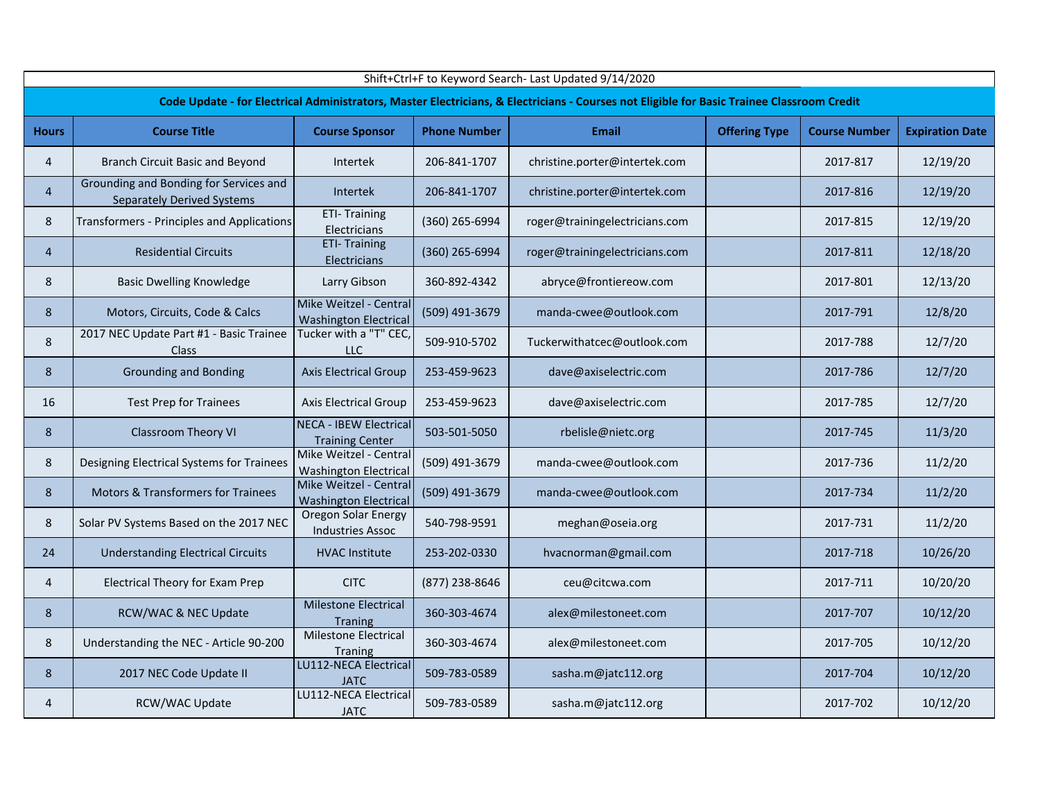| Shift+Ctrl+F to Keyword Search- Last Updated 9/14/2020 |                                                                                                                                            |                                                         |                     |                                |                      |                      |                        |  |  |  |  |  |
|--------------------------------------------------------|--------------------------------------------------------------------------------------------------------------------------------------------|---------------------------------------------------------|---------------------|--------------------------------|----------------------|----------------------|------------------------|--|--|--|--|--|
|                                                        | Code Update - for Electrical Administrators, Master Electricians, & Electricians - Courses not Eligible for Basic Trainee Classroom Credit |                                                         |                     |                                |                      |                      |                        |  |  |  |  |  |
| <b>Hours</b>                                           | <b>Course Title</b>                                                                                                                        | <b>Course Sponsor</b>                                   | <b>Phone Number</b> | <b>Email</b>                   | <b>Offering Type</b> | <b>Course Number</b> | <b>Expiration Date</b> |  |  |  |  |  |
| $\overline{4}$                                         | Branch Circuit Basic and Beyond                                                                                                            | <b>Intertek</b>                                         | 206-841-1707        | christine.porter@intertek.com  |                      | 2017-817             | 12/19/20               |  |  |  |  |  |
| $\overline{4}$                                         | Grounding and Bonding for Services and<br><b>Separately Derived Systems</b>                                                                | <b>Intertek</b>                                         | 206-841-1707        | christine.porter@intertek.com  |                      | 2017-816             | 12/19/20               |  |  |  |  |  |
| 8                                                      | Transformers - Principles and Applications                                                                                                 | <b>ETI- Training</b><br>Electricians                    | (360) 265-6994      | roger@trainingelectricians.com |                      | 2017-815             | 12/19/20               |  |  |  |  |  |
| $\overline{4}$                                         | <b>Residential Circuits</b>                                                                                                                | <b>ETI-Training</b><br>Electricians                     | (360) 265-6994      | roger@trainingelectricians.com |                      | 2017-811             | 12/18/20               |  |  |  |  |  |
| 8                                                      | <b>Basic Dwelling Knowledge</b>                                                                                                            | Larry Gibson                                            | 360-892-4342        | abryce@frontiereow.com         |                      | 2017-801             | 12/13/20               |  |  |  |  |  |
| 8                                                      | Motors, Circuits, Code & Calcs                                                                                                             | Mike Weitzel - Central<br><b>Washington Electrical</b>  | (509) 491-3679      | manda-cwee@outlook.com         |                      | 2017-791             | 12/8/20                |  |  |  |  |  |
| 8                                                      | 2017 NEC Update Part #1 - Basic Trainee<br>Class                                                                                           | Tucker with a "T" CEC,<br><b>LLC</b>                    | 509-910-5702        | Tuckerwithatcec@outlook.com    |                      | 2017-788             | 12/7/20                |  |  |  |  |  |
| 8                                                      | <b>Grounding and Bonding</b>                                                                                                               | <b>Axis Electrical Group</b>                            | 253-459-9623        | dave@axiselectric.com          |                      | 2017-786             | 12/7/20                |  |  |  |  |  |
| 16                                                     | <b>Test Prep for Trainees</b>                                                                                                              | Axis Electrical Group                                   | 253-459-9623        | dave@axiselectric.com          |                      | 2017-785             | 12/7/20                |  |  |  |  |  |
| 8                                                      | <b>Classroom Theory VI</b>                                                                                                                 | <b>NECA - IBEW Electrical</b><br><b>Training Center</b> | 503-501-5050        | rbelisle@nietc.org             |                      | 2017-745             | 11/3/20                |  |  |  |  |  |
| 8                                                      | Designing Electrical Systems for Trainees                                                                                                  | Mike Weitzel - Central<br><b>Washington Electrical</b>  | (509) 491-3679      | manda-cwee@outlook.com         |                      | 2017-736             | 11/2/20                |  |  |  |  |  |
| 8                                                      | Motors & Transformers for Trainees                                                                                                         | Mike Weitzel - Central<br><b>Washington Electrical</b>  | (509) 491-3679      | manda-cwee@outlook.com         |                      | 2017-734             | 11/2/20                |  |  |  |  |  |
| 8                                                      | Solar PV Systems Based on the 2017 NEC                                                                                                     | Oregon Solar Energy<br><b>Industries Assoc</b>          | 540-798-9591        | meghan@oseia.org               |                      | 2017-731             | 11/2/20                |  |  |  |  |  |
| 24                                                     | <b>Understanding Electrical Circuits</b>                                                                                                   | <b>HVAC Institute</b>                                   | 253-202-0330        | hvacnorman@gmail.com           |                      | 2017-718             | 10/26/20               |  |  |  |  |  |
| 4                                                      | Electrical Theory for Exam Prep                                                                                                            | <b>CITC</b>                                             | (877) 238-8646      | ceu@citcwa.com                 |                      | 2017-711             | 10/20/20               |  |  |  |  |  |
| 8                                                      | RCW/WAC & NEC Update                                                                                                                       | <b>Milestone Electrical</b><br><b>Traning</b>           | 360-303-4674        | alex@milestoneet.com           |                      | 2017-707             | 10/12/20               |  |  |  |  |  |
| 8                                                      | Understanding the NEC - Article 90-200                                                                                                     | Milestone Electrical<br>Traning                         | 360-303-4674        | alex@milestoneet.com           |                      | 2017-705             | 10/12/20               |  |  |  |  |  |
| 8                                                      | 2017 NEC Code Update II                                                                                                                    | LU112-NECA Electrical<br><b>JATC</b>                    | 509-783-0589        | sasha.m@jatc112.org            |                      | 2017-704             | 10/12/20               |  |  |  |  |  |
| 4                                                      | RCW/WAC Update                                                                                                                             | <b>LU112-NECA Electrical</b><br><b>JATC</b>             | 509-783-0589        | sasha.m@jatc112.org            |                      | 2017-702             | 10/12/20               |  |  |  |  |  |